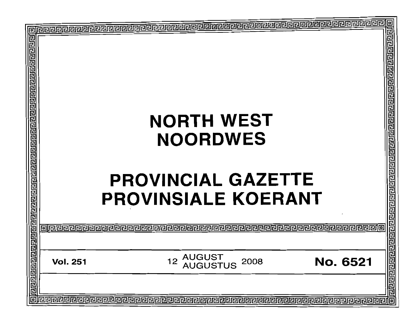| 回 |                 |                                                             | o                  |
|---|-----------------|-------------------------------------------------------------|--------------------|
|   |                 |                                                             | 굔                  |
|   |                 | <b>NORTH WEST</b><br><b>NOORDWES</b>                        |                    |
|   |                 | <b>PROVINCIAL GAZETTE</b><br><b>PROVINSIALE KOERANT</b>     |                    |
|   |                 |                                                             | <u> elepperino</u> |
|   | <b>Vol. 251</b> | <b>AUGUST<br/>AUGUSTUS</b><br>12<br><b>No. 6521</b><br>2008 | @@@@@@@@@          |
| o |                 |                                                             |                    |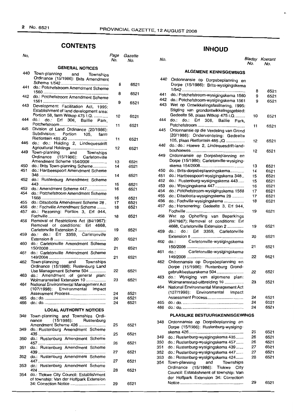# **CONTENTS INHOUD**

| No.        |                                                                                                       | Page<br>No. | Gazette<br>No. |
|------------|-------------------------------------------------------------------------------------------------------|-------------|----------------|
|            | <b>GENERAL NOTICES</b>                                                                                |             |                |
| 440        | Town-planning<br>and Townships<br>Ordinance (15/1986): Brits Amendment                                |             |                |
| 441        | do.: Potchefstroom Amendment Scheme                                                                   | 8           | 6521           |
| 442        | do.: Potchefstroom Amendment Scheme                                                                   | 8           | 6521           |
| 443        | Development Facilitation Act, 1995:<br>Establishment of land development area:                        | 9           | 6521           |
| 444        | Portion 58, farm Witkop 475 I.Q.<br>do.:<br>do.:<br>Erf 306, Baillie Park,                            | 10          | 6521           |
| 445        | Division of Land Ordinance (20/1986):                                                                 | 11          | 6521           |
| 446        | do.: do.: Holding 2, Lindequesdrift                                                                   | 11          | 6521           |
| 449        | Agricultural Holdings<br>Town-planning and Townships                                                  | 12          | 6521           |
|            | Ordinance (15/1986): Carletonville<br>Amendment Scheme 154/2008                                       | 13          | 6521           |
| 450<br>451 | do.: Brits Town-planning Scheme<br>do.: Hartbeespoort Amendment Scheme                                | 14          | 6521           |
| 452        | do.: Rustenburg Amendment Scheme                                                                      | 14          | 6521           |
| 453        | do.: Amendment Scheme 447                                                                             | 15<br>16    | 6521<br>6521   |
| 454        | do.: Potchefstroom Amendment Scheme                                                                   | 16          | 6521           |
| 455        | do.: Ditsobotla Amendment Scheme 28.                                                                  | 17          | 6521           |
| 456<br>457 | do.: Fochville Amendment Scheme<br>do.: Rezoning: Portion 3, Erf 944,                                 | 18          | 6521           |
| 458        | Removal of Restrictions Act (84/1967):                                                                | 18          | 6521           |
| 459        | Removal of conditions: Erf 4668,<br>Carletonville Extension 2<br>do.: Erf 3359, Carletonville<br>do.: | 19          | 6521           |
| 460        | do.: Carletonville Amendment Scheme                                                                   | 20          | 6521           |
| 461        | do.: Carletonville Amendment Scheme                                                                   | 21          | 6521           |
| 462        | Town-planning and Townships                                                                           | 21          | 6521           |
|            | Ordinance (15/1986): Rustenburg Land<br>Use Management Scheme 504                                     | 22          | 6521           |
| 463        | do.: Amendment of general plan:<br>Wolmaransstad Extension 10                                         | 23          | 6521           |
| 464        | National Environmental Management Act<br>(107/1998):<br>Environmental Impact                          |             |                |
|            | Assessment Process                                                                                    | 24          | 6521           |
| 465<br>466 |                                                                                                       | 24<br>24    | 6521<br>6521   |
|            | <b>LOCAL AUTHORITY NOTICES</b>                                                                        |             |                |
| 348        | Town-planning and Townships Ordi-<br>(15/1986): Rustenburg<br>nance                                   |             |                |
| 349        | Amendment Scheme 426<br>do.: Rustenburg Amendment Scheme                                              | 25          | 6521           |
| 350        | do.: Rustenburg Amendment Scheme                                                                      | 25          | 6521           |
| 351        | do.: Rustenburg Amendment Scheme                                                                      | 26          | 6521           |
| 352        | do.: Rustenburg Amendment Scheme                                                                      | 27          | 6521           |
| 353        | do.: Rustenburg Amendment Scheme                                                                      | 27          | 6521           |
| 354        | do.: Tlokwe City Council: Establishment<br>of township: Van der Hoffpark Extension                    | 28          | 6521           |
|            | 34: Correction Notice                                                                                 | 29          | 6521           |

| No.      | No.          | No.        |                                                                                                                            | No.      | Bladsy Koerant<br>No. |
|----------|--------------|------------|----------------------------------------------------------------------------------------------------------------------------|----------|-----------------------|
|          |              |            | <b>ALGEMENE KENNISGEWINGS</b>                                                                                              |          |                       |
| 8        | 6521         | 440        | Ordonnansie op Dorpsbeplanning en<br>Dorpe (15/1986): Brits-wysigingskema                                                  |          |                       |
| 8        | 6521         | 441        | do.: Potchefstroom-wysigingskema 1560                                                                                      | 8<br>9   | 6521<br>6521          |
| 9        | 6521         | 442<br>443 | do.: Potchefstroom-wysigingskema 1561<br>Wet op Ontwikkelingsfasilitering, 1995:<br>Stigting van grondontwikkelingsgebied: | 9        | 6521                  |
| 10       | 6521         | 444        | Gedeelte 58, plaas Witkop 475 I.Q<br>do.:<br>do.:<br>Erf<br>306, Baillie<br>Park.                                          | 10       | 6521                  |
| 11       | 6521         | 445        | Ordonnansie op die Verdeling van Grond                                                                                     | 11       | 6521                  |
| 11       | 6521         | 446        | (20/1986): Onderverdeling: Gedeelte<br>105, plaas Rietfontein 485 JQ                                                       | 12       | 6521                  |
| 12       | 6521         | 449        | do.: do.: Hoewe 2, Lindequesdrift-land-<br>Ordonnansie op Dorpsbeplanning en                                               | 12       | 6521                  |
| 13<br>14 | 6521<br>6521 |            | Dorpe (15/1986): Carletonville-wysiging-                                                                                   | 13       | 6521                  |
|          |              | 450        | do.: Brits-dorpsbeplanningskema                                                                                            | 14       | 6521                  |
| 14       | 6521         | 451        | do.: Hartbeespoort-wysigingskema 348                                                                                       | 15       | 6521                  |
|          |              | 452        | do.: Rustenburg-wysigingskema 443                                                                                          | 15       | 6521                  |
| 15       | 6521         | 453        | do.: Wysigingskema 447                                                                                                     | 16       | 6521                  |
| 16       | 6521         | 454        | do.: Potchefstroom-wysigingskema 1568                                                                                      | 17       | 6521                  |
|          |              | 455        | do.: Ditsobotla-wysigingskema 28                                                                                           | 17       | 6521                  |
| 16       | 6521         | 456        | do.: Fochville-wysigingskema                                                                                               | 18       | 6521                  |
| 17<br>18 | 6521<br>6521 | 457        | do.: Hersonering: Gedeelte 3, Erf 944,                                                                                     | 19       | 6521                  |
| 18       | 6521         | 458        | Wet op Opheffing van Beperkings<br>(84/1967): Removal of conditions: Erf                                                   |          |                       |
| 19       | 6521         | 459        | 4668, Carletonville Extension 2<br>do.<br>do.:<br>Erf 3359, Carletonville                                                  | 19       | 6521                  |
| 20       | 6521         | 460        | Carletonville-wysigingskema<br>$do.$ :                                                                                     | 20       | 6521                  |
| 21       | 6521         | 461        | Carletonville-wysigingskema<br>do.:                                                                                        | 21<br>22 | 6521<br>6521          |
| 21       | 6521         | 462        | Ordonnansie op Dorpsbeplanning en<br>Dorpe (15/1986): Rustenburg Grond-                                                    |          |                       |
| 22       | 6521         | 463        | gebruikbestuurskema 504<br>do.: Wysiging van algemene plan:                                                                | 22       | 6521                  |
| 23       | 6521         | 464        | Wolmaransstad-uitbreiding 10<br>National Environmental Management Act                                                      | 23       | 6521                  |
| 24       | 6521         |            | $(107/1998)$ :<br>Environmental<br>Impact                                                                                  |          |                       |
| 24       | 6521         |            | Assessment Process                                                                                                         | 24       | 6521                  |
| 24       | 6521         | 465<br>466 |                                                                                                                            | 24<br>24 | 6521<br>6521          |
|          |              |            | PLAASLIKE BESTUURSKENNISGEWINGS                                                                                            |          |                       |
| 25       | 6521         | 348        | Ordonnansie op Dorpsbeplanning en<br>Dorpe (15/1986): Rustenburg-wysiging-                                                 |          |                       |
| 25       | 6521         | 349        | do.: Rustenburg-wysigingskema 435                                                                                          | 25<br>26 | 6521<br>6521          |
| 26       | 6521         | 350        | do.: Rustenburg-wysigingskema 457                                                                                          | 26       | 6521                  |
| 27       | 6521         | 351<br>352 | do.: Rustenburg-wysigingskema 439<br>do.: Rustenburg-wysigingskema 447                                                     | 27<br>27 | 6521<br>6521          |
| 27       | 6521         | 353<br>354 | do.: Rustenburg-wysigingskema 424<br>Town-planning<br>and<br>Townships                                                     | 28       | 6521                  |
| 28       | 6521         |            | (15/1986):<br>Tlokwe City<br>Ordinance<br>Council: Establishment of township: Van                                          |          |                       |
| 29       | 6521         |            | der Hoffpark Extension 34: Correction                                                                                      | 29       | 6521                  |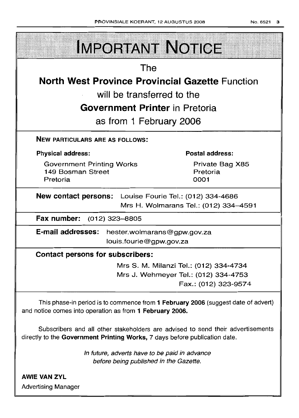|                                                                   | PHOVINSIALE NOEHANT, TZ AUGUSTUS 2008 |                                                              | 10. 652 I |
|-------------------------------------------------------------------|---------------------------------------|--------------------------------------------------------------|-----------|
|                                                                   | <b>IMPORTANT NOTICE</b>               |                                                              |           |
| The                                                               |                                       |                                                              |           |
| <b>North West Province Provincial Gazette Function</b>            |                                       |                                                              |           |
| will be transferred to the                                        |                                       |                                                              |           |
| <b>Government Printer in Pretoria</b>                             |                                       |                                                              |           |
| as from 1 February 2006                                           |                                       |                                                              |           |
| <b>NEW PARTICULARS ARE AS FOLLOWS:</b>                            |                                       |                                                              |           |
| <b>Physical address:</b>                                          |                                       | <b>Postal address:</b>                                       |           |
| <b>Government Printing Works</b><br>149 Bosman Street<br>Pretoria |                                       | Private Bag X85<br>Pretoria<br>0001                          |           |
| New contact persons: Louise Fourie Tel.: (012) 334-4686           |                                       | Mrs H. Wolmarans Tel.: (012) 334-4591                        |           |
| Fax number: (012) 323-8805                                        |                                       |                                                              |           |
| E-mail addresses: hester.wolmarans@gpw.gov.za                     | louis.fourie@gpw.gov.za               |                                                              |           |
| <b>Contact persons for subscribers:</b>                           |                                       |                                                              |           |
|                                                                   |                                       | Mrs S. M. Milanzi Tel.: (012) 334-4734                       |           |
|                                                                   |                                       | Mrs J. Wehmeyer Tel.: (012) 334-4753<br>Fax.: (012) 323-9574 |           |
|                                                                   |                                       |                                                              |           |

This phase-in period is to commence from **1 February 2006** (suggest date of advert) and notice comes into operation as from **1 February 2006.**

Subscribers and all other stakeholders are advised to send their advertisements directly to the **Government Printing Works,** 7 days before publication date

> In future, adverts have to be paid in advance before being published in the Gazette.

**AWIE VAN ZYL** Advertising Manager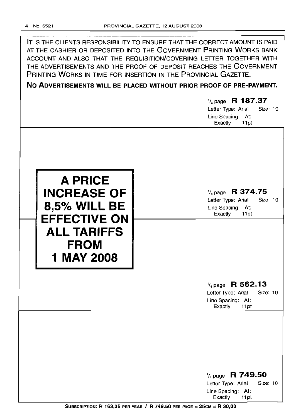| IT IS THE CLIENTS RESPONSIBILITY TO ENSURE THAT THE CORRECT AMOUNT IS PAID<br>AT THE CASHIER OR DEPOSITED INTO THE GOVERNMENT PRINTING WORKS BANK<br>ACCOUNT AND ALSO THAT THE REQUISITION/COVERING LETTER TOGETHER WITH<br>THE ADVERTISEMENTS AND THE PROOF OF DEPOSIT REACHES THE GOVERNMENT<br>PRINTING WORKS IN TIME FOR INSERTION IN THE PROVINCIAL GAZETTE.<br>NO ADVERTISEMENTS WILL BE PLACED WITHOUT PRIOR PROOF OF PRE-PAYMENT. |                                                                                                       |  |
|-------------------------------------------------------------------------------------------------------------------------------------------------------------------------------------------------------------------------------------------------------------------------------------------------------------------------------------------------------------------------------------------------------------------------------------------|-------------------------------------------------------------------------------------------------------|--|
|                                                                                                                                                                                                                                                                                                                                                                                                                                           |                                                                                                       |  |
|                                                                                                                                                                                                                                                                                                                                                                                                                                           | $\frac{1}{4}$ page R 187.37<br>Letter Type: Arial<br>Size: 10<br>Line Spacing: At:<br>Exactly<br>11pt |  |
| <b>A PRICE</b><br><b>INCREASE OF</b><br>8,5% WILL BE<br><b>EFFECTIVE ON</b><br><b>ALL TARIFFS</b><br><b>FROM</b><br><b>1 MAY 2008</b>                                                                                                                                                                                                                                                                                                     | $\frac{1}{4}$ page R 374.75<br>Letter Type: Arial<br>Size: 10<br>Line Spacing: At:<br>Exactly<br>11pt |  |
|                                                                                                                                                                                                                                                                                                                                                                                                                                           | $\frac{1}{4}$ page R 562.13<br>Size: 10<br>Letter Type: Arial<br>Line Spacing: At:<br>Exactly<br>11pt |  |
|                                                                                                                                                                                                                                                                                                                                                                                                                                           | $\frac{1}{4}$ page R 749.50<br>Size: 10<br>Letter Type: Arial<br>Line Spacing: At:<br>Exactly<br>11pt |  |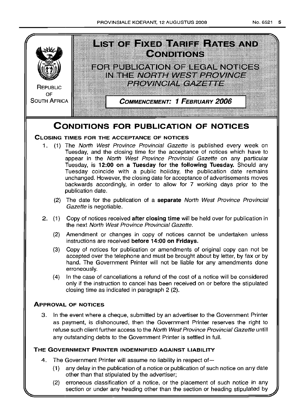

(2) erroneous classification of a notice, or the placement of such notice in any section or under any heading other than the section or heading stipulated by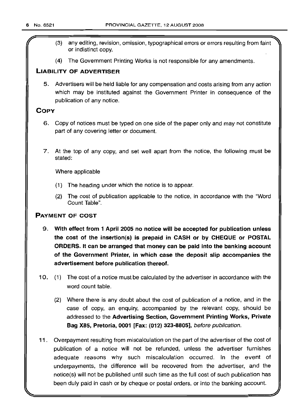- (3) any editing, revision, omission, typographical errors or errors resulting from faint or indistinct copy.
- (4) The Government Printing Works is not responsible for any amendments.

## LIABILITY OF ADVERTISER

5. Advertisers will be held liable for any compensation and costs arising from any action which may be instituted against the Government Printer in consequence of the publication of any notice.

## **COPY**

- 6. Copy of notices must be typed on one side of the paper only and may not constitute part of any covering letter or document.
- 7. At the top of any copy, and set well apart from the notice, the following must be stated:

Where applicable

- (1) The heading under which the notice is to appear.
- (2) The cost of publication applicable to the notice, in accordance with the "Word Count Table".

## PAYMENT OF COST

- 9. With effect from 1 April 2005 no notice will be accepted for publication unless the cost of the insertion(s) is prepaid in CASH or by CHEQUE or POSTAL ORDERS. It can be arranged that money can be paid into the banking account of the Government Printer, in which case the deposit slip accompanies the advertisement before publication thereof.
- 10. (1) The cost of a notice must be calculated by the advertiser in accordance with the word count table.
	- (2) Where there is any doubt about the cost of publication of a notice, and in the case of copy, an enquiry, accompanied by the relevant copy, should be addressed to the Advertising Section, Government Printing Works, Private Bag X85, Pretoria, 0001 [Fax: (012) 323-8805], before publication.
- 11 . Overpayment resulting from miscalculation on the part of the advertiser of the cost of publication of a notice will not be refunded, unless the advertiser furnishes adequate reasons why such miscalculation occurred. In the event of underpayments, the difference will be recovered from the advertiser, and the notice(s) will not be published until such time as the full cost of such publication has been duly paid in cash or by cheque or postal orders, or into the banking account.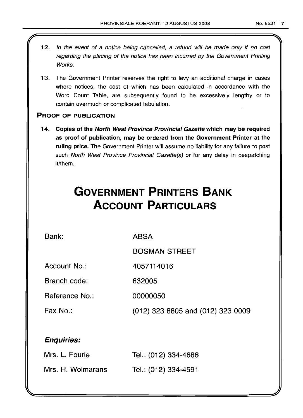- 12. In the event of a notice being cancelled, a refund will be made only if no cost regarding the placing of the notice has been incurred by the Government Printing Works.
- 13. The Government Printer reserves the right to levy an additional charge in cases where notices, the cost of which has been calculated in accordance with the Word Count Table, are subsequently found to be excessively lengthy or to contain overmuch or complicated tabulation.

## PROOF OF PUBLICATION

14. Copies of the North West Province Provincial Gazette which may be required as proof of publication, may be ordered from the Government Printer at the ruling price. The Government Printer will assume no liability for any failure to post such North West Province Provincial Gazette(s) or for any delay in despatching it/them.

# **GOVERNMENT PRINTERS BANK ACCOUNT PARTICULARS**

Bank:

ABSA

BOSMAN STREET

Account No.: 4057114016

Branch code: 632005

Reference No.: 00000050

Fax No.:

(012) 323 8805 and (012) 323 0009

## Enquiries:

| Mrs. L. Fourie    | Tel.: (012) 334-4686 |
|-------------------|----------------------|
| Mrs. H. Wolmarans | Tel.: (012) 334-4591 |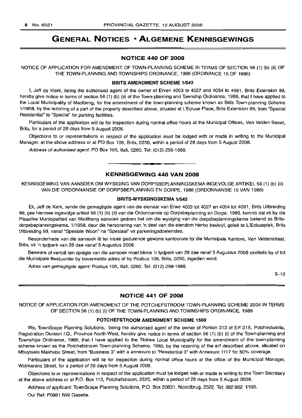## **GENERAL NOTICES • ALGEMENE KENNISGEWINGS**

## **NOTICE 440 OF 2008**

NOTICE OF APPLICATION FOR AMENDMENT OF TOWN-PLANNING SCHEME IN TERMS OF SECTION 56 (1) (b) (ii) OF THE TOWN-PLANNING AND TOWNSHIPS ORDINANCE, 1986 (ORDINANCE 15 OF 1986)

#### **BRITS AMENDMENT SCHEME** 1/542

I, Jeff de Klerk, being the authorised agent of the owner of Erven 4003 to 4027 and 4054 to 4061, Brits Extension 99, hereby give notice in terms of section 56 (1) (b) (ii) of the Town-planning and Township Ordinance, 1986, that I have applied to the Local Municipality of Madibeng, for the amendment of the town-planning scheme known as Brits Town-planning Scheme 1/1958, by the rezoning of a part of the property described above, situated at L'Ecluse Place, Brits Extension 99, from "Special Residential" to "Special" for parking facilities.

Particulars of the application will lie for inspection during normal office hours at the Municipal Offices, Van Velden Street, Brits, for a period of 28 days from 5 August 2008.

Objections to or representations in respect of the application must be lodged with or made in writing to the Municipal Manager, at the above address or at PO Box 106, Brits, 0250, within a period of 28 days from 5 August 2008.

Address of authorised agent: PO Box 105, Ifafi, 0260. Tel: (012) 259-1688.

## **KENNISGEWING 440 VAN 2008**

**• •**

KENNISGEWING VAN AANSOEK OM WYSIGING VAN DORPSBEPLANNINGSKEMA INGEVOLGE ARTIKEL 56 (1) (b) (ii) VAN DIE ORDONNANSJE OP DORPSBEPLANNING EN DORPE, 1986 (ORDONNANSIE 15 VAN 1986)

## **BRITS-WVSIGINGSKEMA** 1/542

Ek, Jeff de Kerk, synde die gemagtigde agent van die eienaar van Erwe 4003 tot 4027 en 4054 tot 4061, Brits Uitbreiding 99, gee hiermee ingevolge artikel 56 (1) (b) (ii) van die Ordonnansie op Dorpsbeplanning en Dorpe, 1986, kennis dat ek by die Plaaslike Munisipaliteit van Madibeng aansoek gedoen het om die wysiging van die dorpsbeplanningskema bekend as Britsdorpsbeplanningskema, 1/1958, deur die hersonering van 'n deel van die eiendom hierbo beskryf, geleë te L'Ecluseplek, Brits Uitbreiding 99, vanaf "Spesiale Woon" na "Spesiaal" vir parkeringsdoeleindes.

Besonderhede van die aansoek lê ter insae gedurende gewone kantoorure by die Munisipale Kantore, Van Veldenstraat, Brits, vir 'n tydperk van 28 dae vanaf 5 Augustus 2008.

Besware of vertoë ten opsigte van die aansoek moet binne 'n tydperk van 28 dae vanaf 5 Augustus 2008 skriftelik by of tot die Munisipale Bestuurder by bovermelde adres of by Posbus 106, Brits, 0250, ingedien word.

Adres van gemagtigde agent: Posbus 105, Ifafi, 0260. Tel: (012) 259-1688.

5-12

## **NOTICE 441 OF 2008**

NOTICE OF APPLICATION FOR AMENDMENT OF THE POTCHEFSTROOM TOWN-PLANNING SCHEME 2004 IN TERMS OF SECTION 56 (1) (b) (i) OF THE TOWN-PLANNING AND TOWNSHIPS ORDINANCE, 1986

## **POTCHEFSTROOM AMENDMENT SCHEME** 1560

We, TownScape Planning Solutions, being the authorised agent of the owner of Portion 313 of Erf 315, Potchindustria, Registration Division 1.0., Province North-West, hereby give notice in terms of section 56 (1) (b) (i) of the Town-planning and Townships Ordinance, 1986, that I have applied to the Tlokwe Local Municipality for the amendment of the town-planning scheme known as the Potchefstroom Town-planning Scheme, 1980, by the rezoning of the erf described above, situated on Mbuyiselo Makhubu Street, from "Business 3" with a annexure to "Residential 3" with Annexure 1117 for 50% coverage.

Particulars of the application will lie for inspection during normal office hours at the office of the Municipal Manager, Wolmarans Street, for a period of 28 days from 5 August 2008.

Objections to or representations in respect of the application must be lodged with or made in writing to the Town Secretary at the above address or at P.O. Box 113, Potchefstroom, 2520, within a period of 28 days from 5 August 2008.

Address of applicant: TownScape Planning Solutions, P.O. Box 20831, Noordbrug, 2522. Tel: 082 662 1105.

Our Ref: P0881 NW Gazette.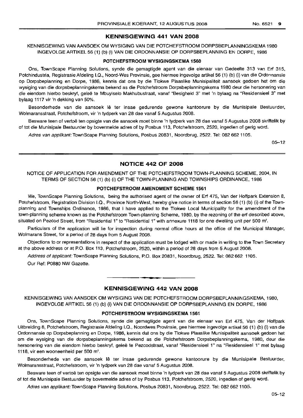## KENNISGEWING 441 VAN 2008

KENNISGEWING VAN AANSOEK OM WYSIGING VAN DIE POTCHEFSTROOM DORPSBEPLANNINGSKEMA 1980 INGEVOLGE ARTIKEL 56 (1) (b) (i) VAN DIE ORDONNANSIE OP DORPSBEPLANNING EN DORPE, 1986

#### POTCHEFSTROOM WYSIGINGSKEMA 1560

Ons, TownScape Planning Solutions, synde die gemagtigde agent van die eienaar van Gedeelte 313 van Erf 315, Potchindustria, Registrasie Afdeling I.Q., Noord-Wes Provinsie, gee hiermee ingevolge artikel 56 (1) (b) (i) van die Ordonnansie op Dorpsbeplanning en Dorpe, 1986, kennis dat ons by die Tlokwe Plaaslike Munisipaliteit aansoek gedoen het om die wysiging van die dorpsbeplanningskema bekend as die Potchefstroom Dorpsbeplanningskema 1980 deur die hersonering van die eiendom hierbo beskryf, gelee te Mbuyiselo Makhubustraat, vanaf "Besigheid 3" met 'n bylaag na "Residensieel 3" met bylaag 1117 vir 'n dekking van 50%.

Besonderhede van die aansoek lê ter insae gedurende gewone kantoorure by die Munisipale Bestuurder, Wolmaransstraat, Potchefstroom, vir 'n tydperk van 28 dae vanaf 5 Augustus 2008.

Besware teen of vertoë ten opsigte van die aansoek moet binne 'n tydperk van 28 dae vanaf 5 Augustus 2008 skriftelik by of tot die Munisipale Bestuurder by bovermelde adres of by Posbus 113, Potchefstroom, 2520, ingedien of gerig word.

Adres van applikant: TownScape Planning Solutions, Posbus 20831, Noordbrug, 2522. Tel: 082 662 1105.

05-12

## NOTICE 442 OF 2008

NOTICE OF APPLICATION FOR AMENDMENT OF THE POTCHEFSTROOM TOWN-PLANNING SCHEME, 2004, IN TERMS OF SECTION 56 (1) (b) (i) OF THE TOWN-PLANNING AND TOWNSHIPS ORDINANCE, 1986

#### POTCHEFSTROOM AMENDMENT SCHEME 1561

We, TownScape Planning Solutions, being the authorised agent of the owner of Erf 475, Van der Hoffpark Extension 8, Potchefstroom, Registration Division 1.0., Province North-West, hereby give notice in terms of section 56 (1) (b) (i) of the Townplanning and Townships Ordinance, 1986, that I have applied to the Tlokwe Local Municipality for the amendment of the town-planning scheme known as the Potchefstroom Town-planning Scheme, 1980, by the rezoning of the erf described above, situated on Pezcod Street, from "Residential 1" to "Residential 1" with annexure 1118 for one dwelling unit per 500 m<sup>2</sup>.

Particulars of the application will lie for inspection during normal office hours at the office of the Municipal Manager, Wolmarans Street, for a period of 28 days from 5 August 2008.

Objections to or representations in respect of the application must be lodged with or made in writing to the Town Secretary at the above address or at P.O. Box 113, Potchefstroom, 2520, within a period of 28 days from 5 August 2008.

Address of applicant: TownScape Planning Solutions, P.O. Box 20831, Noordbrug, 2522. Tel: 082662 1105.

Our Ref: P0880 NW Gazette.

## KENNISGEWING 442 VAN 2008

**-.**

KENNISGEWING VAN AANSOEK OM WYSIGING VAN DIE POTCHEFSTROOM DORPSBEPLANNINGSKEMA, 1980, INGEVOLGE ARTIKEL 56 (1) (b) (i) VAN DIE ORDONNANSIE OP DORPSBEPLANNING EN DORPE, 1986

#### POTCHEFSTROOM WYSIGINGSKEMA 1561

Ons, TownScape Planning Solutions, synde die gemagtigde agent van die eienaar van Erf 475, Van der Hoffpark Uitbreiding 8, Potchefstroom, Registrasie Afdeling I.Q., Noordwes Provinsie, gee hiermee ingevolge artikel 56 (1) (b) (i) van die Ordonnansie op Dorpsbeplanning en Dorpe, 1986, kennis dat ons by die Tlokwe Plaaslike Munisipaliteit aansoek gedoen het om die wysiging van die dorpsbeplanningskema bekend as die Potchefstroom Dorpsbeplanningskema, 1980, deur die hersonering van die eiendom hierbo beskryf, gelee te Pezcodstraat, vanaf "Residensieel 1" na "Residensieel 1" met bylaag 1118, vir een wooneenheid per 500 m<sup>2</sup>.

Besonderhede van die aansoek lê ter insae gedurende gewone kantoorure by die Munisipale Bestuurder, Wolmaransstraat, Potchefstroom, vir 'n tydperk van 28 dae vanaf 5 Augustus 2008.

Besware teen of vertoë ten opsigte van die aansoek moet binne 'n tydperk van 28 dae vanaf 5 Augustus 2008 skriftelik by of tot die Munisipale Bestuurder by bovermelde adres of by Posbus 113, Potchefstroom, 2520, ingedien of gerig word.

Adres van applikant: TownScape Planning Solutions, Posbus 20831, Noordbrug, 2522. Tel: 082 662 1105.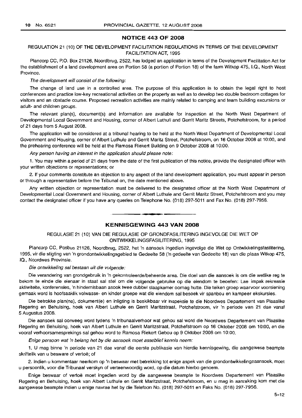## **NOTICE 443 OF 2008**

## REGULATION 21 (10) OF THE DEVELOPMENT FACILITATION REGULATIONS IN TERMS OF THE DEVELOPMENT FACILITATION ACT, 1995

Plancorp CC, P.O. Box 21126, Noordbrug, 2522, has lodged an application in terms of the Development Facilitation Act for the establishment of a land development area on Portion 58 (a portion of Portion 18) of the farm Witkop 475, 1.0., North West Province.

#### The development will consist of the following:

The change of land use in a controlled area. The purpose of this application is to obtain the legal right to host conferences and practice low-key recreational activities on the property as well as to develop two double bedroom cottages for visitors and an obstacle course. Proposed recreation activities are mainly related to camping and team building excursions or adult- and children groups.

The relevant plan(s), document(s) and information are available for inspection at the North West Department of Developmental Local Government and Housing, corner of Albert Luthuli and Gerrit Maritz Streets, Potchefstroom, for a period of 21 days from 5 August 2008.

The application will be considered at a tribunal hearing to be held at the North West Department of Developmental Local Government and Housing, corner of Albert Luthule and Gerrit Maritz Street, Potchefstroom, on 16 October 2008 at 10:00, and the prehearing conference will be held at the Ramosa Riekert Building on 9 October 2008 at 10:00.

Any person having an interest in the application should please note:

1. You may within a period of 21 days from the date of the first publication of this notice, provide the designated officer with your written objections or representations; or

2. If your comments constitute an objection to any aspect of the land development application, you must appear in person or through a representative before the Tribunal on, the date mentioned above.

Any written objection or representation must be delivered to the designated officer at the North West Department of Developmental Local Government and Housing, corner of Albert Luthule and Gerrit Maritz Street, Potchefstroom and you may contact the designated officer if you have any queries on Telephone No. (018) 297-5011 and Fax No. (018) 297-7956.

## **- KENNISGEWING <sup>443</sup> VAN <sup>2008</sup>**

## REGULASIE 21 (10) VAN DIE REGULASIE OP GRONDFASILITERING INGEVOLGE DIE WET OP ONTWIKKELlNGSFASILITERING, 1995

Plancorp CC, Posbus 21126, Noordbrug, 2522, het 'n aansoek ingedien ingevolge die Wet op Ontwikkelingsfasilitering, 1995, vir die stigting van 'n grondontwikkelingsgebied te Gedeelte 58 ('n gedeelte van Gedeelte 18) van die plaas Witkop 475, 10., Noordwes Provinsie.

#### Die ontwikkeling sal bestaan uit die volgende:

Die verandering van grondgebruik in 'n gekontroleerde/beheerde area. Die doel van die aansoek is om die wetlike reg te bekom te einde die eienaar in staat sal stel om die volgende gebruike op die eiendom te beoefen: Lae impak rekreasie aktiwiteite, konferensies, 'n hindernisbaan asook twee dubbel slaapkamer oornag hutte. Die teiken groep waarvoor voorsiening gemaak word is hoofsaaklik volwasse- en kinder groepe wat die eiendom sal besoek vir spanbou en kampeer ekskursies.

Die betrokke plan(ne), dokument(e) en inligting is beskikbaar vir inspeksie te die Noordwes Departement van Plaaslike Regering en Behuising, hoek van Albert Luthule en Gerrit Maritzstraat, Potchefstroom, vir 'n periode van 21 dae vanaf 5 Augustus 2008.

Die aansoek sal oorweeg word tydens 'n tribunaalverhoor wat gehou sal word die Noordwes Departement van Plaaslike Regering en Behuising, hoek van Albert Luthule en Gerrit Maritzstraat, Potchefstroom op 16 Oktober 2008 om 10:00, en die vooraf verhoorsamesprekings sal gehou word te Ramosa Riekert Gebou op 9 Oktober 2008 om 10:00.

Enige persoon wat 'n belang het by die aansoek moet asseblief kennis neem:

1. U mag binne 'n periode van 21 dae vanaf die eerste publikasie van hierdie kennisgewing, die aangewese beampte skriftelik van u besware of vertoë; of

2. Indien u kommentaar neerkom op 'n beswaar met betrekking tot enige aspek van die grondontwikkelingsaansoek, moet u persoonlik, voor die Tribunaal verskyn of verteenwoordig word, op die datum hierbo genoem.

Enige beswaar of vertoë moet ingedien word by die aangewese beampte te Noordwes Departement van Plaaslike Regering en Behuising, hoek van Albert Luthule en Gerrit Maritzstraat, Potchefstroom, en u mag in aanraking kom met die aangewese beampte indien u enige navrae het by die Telefoon No. (018) 297-5011 en Faks No. (018) 297-7956.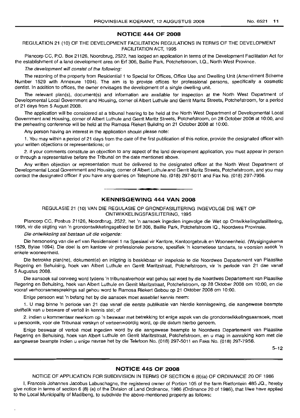## **NOTICE 444 OF 2008**

REGULATION 21 (10) OF THE DEVELOPMENT FACILITATION REGULATIONS IN TERMS OF THE DEVELOPMENT FACILITATION ACT, 1995

Plancorp CC, P.O. Box 21126, Noordbrug, 2522, has lodged an application in terms of the Development Facilitation Act for the establishment of a land development area on Ert 306, Baillie Park, Potchefstroom, I.Q., North West Province.

The development will consist of the following:

The rezoning of the property from Residential 1 to Special for Offices, Office Use and Dwelling Unit (Amendment Scheme Number 1529 with Annexure 1094). The aim is to provide offices for professional persons, specifically a cosmetic dentist. In addition to offices, the owner envisages the development of a single dwelling unit.

The relevant plan(s), document(s) and information are available for inspection at the North West Department of Developmental Local Government and Housing, corner of Albert Luthule and Gerrit Maritz Streets, Potchefstroom, for a period of 21 days from 5 Auqust 2008.

The application will be considered at a tribunal hearing to be held at the North West Department of Developmental Local Government and Housing, corner of Albert Luthule and Gerrit Maritz Streets, Potchefstroom, on 28 October 2008 at 10:00, and the prehearing conference will be held at the Ramosa Riekert Building on 21 October 2008 at 10:00.

Any person having an interest in the application should please note:

1. You may within a period of 21 days from the date of the first publication of this notice, provide the designated officer with your written objections or representations; or

2. if your comments constitute an objection to any aspect of the land development application, you must appear in person or through a representative before the Tribunal on the date mentioned above.

Any written objection or representation must be delivered to the designated officer at the North West Department of Developmental Local Government and Housing, corner of Albert Luthule and Gerrit Maritz Streets, Potchefstroom, and you may contact the designated officer if you have any queries on Telephone No. (018) 297-5011 and Fax No. (018) 297-7956.

## **KENNISGEWING 444 VAN 2008**

**• •**

REGULASIE 21 (10) VAN DIE REGULASIE OP GRONDFASILITERING INGEVOLGE DIE WET OP ONTWIKKELINGSFASILITERING, 1995

Plancorp CC, Posbus 21126, Noordbrug, 2522, het 'n aansoek ingedien ingevolge die Wet op Ontwikkelingsfasilitering, 1995, vir die stigting van 'n grondontwikkelingsgebied te Ert 306, Baillie Park, Potchefstroom IQ., Noordwes Provinsie.

Die ontwikkeling sal bestaan uit die volgende:

Die hersonering van die erf van Residensieel 1 na Spesiaal vir Kantore, Kantoorgebruik en Wooneenheid. (Wysigingskema 1529, Bylae 1094). Die doel is om kantore vir professionele persone, spesifiek 'n kosmetiese tandarts, te voorsien asook 'n enkele wooneenheid.

Die betrokke plan(ne), dokument(e) en inligting is beskikbaar vir inspeksie te die Noordwes Departement van Plaaslike Regering en Behuising, hoek van Albert Luthule en Gerrit Maritzstraat, Potchefstroom, vir 'n periode van 21 dae vanaf 5 Augustus 2008.

Die aansoek sal oorweeg word tydens 'n tribunaalverhoor wat gehou sal word by die Noordwes Departement van Plaaslike Regering en Behuising, hoek van Albert Luthule en Gerrit Maritzstraat, Potchefstroom, op 28 Oktober 2008 om 10:00, en die vooraf verhoorsamesprekings sal gehou word te Ramosa Riekert Gebou op 21 Oktober 2008 om 10:00.

Enige persoon wat 'n belang het by die aansoek moet asseblief kennis neem:

1. U mag binne 'n periode van 21 dae vanaf die eerste publikasie van hierdie kennisgewing, die aangewese beampte skriftelik van u besware of vertoë in kennis stel; of

2. indien u komrnentaar neerkom op 'n beswaar met betrekking tot enige aspek van die grondontwikkelingsaansoek, moet u persoonlik, voor die Tribunaal verskyn of verteenwoordig word, op die datum hierbo genoem.

Enige beswaar of vertoë moet ingedien word by die aangewese beampte te Noordwes Departement van Plaaslike Regering en Behuismq, hoek van Albert Luthule en Gerrit Maritzstraat, Potchefstroom, en u mag in aanraking kom met die aangewese beampte indien u enige navrae het by die Telefoon No. (018) 297-5011 en Faks No. (018) 297-7956.

5-12

## **NOTICE 445 OF 2008**

NOTICE OF APPLICATION FOR SUBDIVISION IN TERMS OF SECTION 6 (8)(a) OF ORDINANCE 20 OF 1986

I, Francois Johannes Jacobus Labuschagne, the registered owner of Portion 105 of the farm Rietfontein 485 JQ., hereby give notice in terms of section 6 (8) (a) of the Division of Land Ordinance, 1986 (Ordinance 20 of 1986), that I/we have applied to the Local Municipality of Madibeng, to subdivide the above-mentioned property as follows: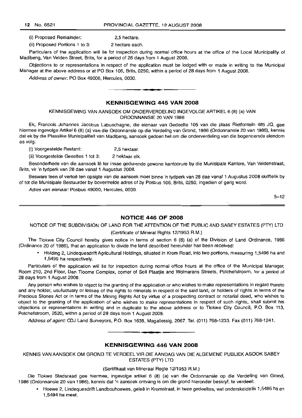12 No. 6521 PROVINCIAL GAZErrE, 12 AUGUST 2008

(i) Proposed Remainder: 2,5 hectare.

(ii) Proposed Portions 1 to 3: 2 hectare each.

Particulars of the application will lie for inspection during normal office hours at the office of the Local Municipality of Madibeng, Van Velden Street, Brits, for a period of 28 days from 1 August 2008.

Objections to or representations in respect of the application must be lodged with or made in writing to the Municipal Manager at the above address or at PO Box 106, Brits, 0250, within a period of 28 days from 1 August 2008.

Address of owner: PO Box 49000, Hercules, 0030.

## **KENNISGEWING 445 VAN 2008**

**- .**

KENNISGEWING VAN AANSOEK OM ONDERVERDELING INGEVOLGE ARTIKEL 6 (8) (a) VAN ORDONNANSIE 20 VAN 1986

Ek, Francois Johannes Jacobus Labuschagne, die eienaar van Gedeelte 105 van die plaas Rietfontein 485 JQ, gee hiermee ingevolge Artikel 6 (8) (a) van die Ordonnansie op die Verdeling van Grond, 1986 (Ordonnansie 20 van 1986), kennis dat ek by die Plaaslike Munisipaliteit van Madibeng, aansoek gedoen het om die onderverdeling van die bogenoemde eiendom as volg:

(i) Voorgestelde Restant: 2,5 hektaar.

(ii) Voorgestelde Geeeites 1 tot 3: 2 hektaar elk.

Besonderhede van die aansoek Ie ter insae gedurende gewone kantoorure by die Munisipale Kantore, Van Veldenstraat, Brits, vir 'n tydperk van 28 dae vanaf 1 Augustus 2008.

Besware teen of vertoe ten opsigte van die aansoek moet binne 'n tydperk van 28 dae vanaf 1 Augustus 2008 skriftelik by of tot die Munisipale Bestuurder by bovermelde adres of by Posbus 106, Brits, 0250, ingedien of gerig word.

Adres van eienaar: Posbus 49000, Hercules, 0030.

 $5 - 12$ 

## **NOTICE 446 OF 2008**

NOTICE OF THE SUBDIVISION OF LAND FOR THE ATIENTION OF THE PUBLIC AND SABEY ESTATES (PTY) LTD

(Certificate of Mineral Rights 12/1953 A.M.)

The Tlokwe City Council hereby gives notice in terms of section 6 (8) (a) of the Division of Land Ordinance, 1986 (Ordinance 20 of 1986), that an application to divide the land described hereunder has been received:

• Holding 2, Lindequesdrift Agricultural Holdings, situated in Krom Road, into two portions, measuring 1,5496 ha and 1,5495 ha respectively.

Particulars of the application will lie for inspection during normal office hours at the office of the Municipal Manager, Room 210, 2nd Floor, Dan Tloome Complex, corner of Soli Plaatjie and Wolmarans Streets, Potchefstroom, for a period of 28 days from 1 August 2008.

Any person who wishes to object to the granting of the application or who wishes to make representations in regard thereto and any holder, usufuctuary or lessee of the rights to minerals in respect of the said land, or holders of rights in terms of the Precious Stones Act or in terms of the Mining Rights Act by virtue of a prospecting contract or notarial deed, who wishes to object to the granting of the application of who wishes to make representations in respect of such rights, shall submit his objections or representations in writing and in duplicate to the above address or to Tlokwe City Council, P.O. Box 113, Potchefstroom, 2520, within a period of 28 days from 1 August 2008.

Address of agent: CDJ Land Surveyors, P.O. Box 1638, Magaliessig, 2067. Tel. (011) 768-1233. Fax (011) 768-1241.

## **KENNISGEWING 446 VAN 2008**

I **• •**

KENNIS VAN AANSOEK OM GROND TE VERDEEL VIR DIE AANDAG VAN DIE ALGEMENE PUBLIEK ASOOK SABEY ESTATES (PTY) LTD

### (Sertifikaat van Mineraal Regte 12/1953 R.M.)

Die Tlokwe Stadsraad gee hiermee, ingevolge artikel 6 (8) (a) van die Ordonnansie op die Verdeling van Grond, 1986 (Ordonnansie 20 van 1986), kennis dat 'n aansoek ontvang is om die grond hieronder beskryf, te verdeel:

• Hoewe 2, Lindequesdrift Landbouhoewes, gelee in Kromstraat, in twee gedeeltes, wat onderskeidelik 1,5496 ha en 1,5494 ha meet.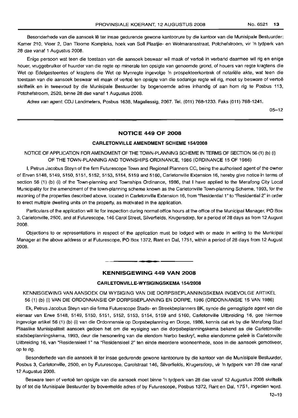Besonderhede van die aansoek lê ter insae gedurende gewone kantoorure by die kantoor van die Munisipale Bestuurder: Kamer 210, Vloer 2, Dan Tloome Kompleks, hoek van Soli Plaatjie- en Wolmaransstraat, Potchefstroom, vir 'n tydperk van 28 dae vanaf 1 Augustus 2008.

Enige persoon wat teen die toestaan van die aansoek beswaar wil maak of vertoë in verband daarmee wil rig en enige hauer, vruggebruiker of huurder van die regte op minerale ten opsigte van genoemde grond, of houers van regte kragtens die Wet op Edelgesteentes of kragtens die Wet op Mynregte ingevolge 'n prospekteerkontrak of notariele akte, wat teen die toestaan van die aansoek beswaar wil maak of vertoë ten opsigte van die sodanige regte wil rig, moet sy besware of vertoë skriftelik en in tweevoud by die Munisipale Bestuurder by bogenoemde adres inhandig of aan hom rig te Posbus 113, Potchefstroom, 2520, binne 28 dae vanaf 1 Augustus 2008.

Adres van agent: CDJ Landmeters, Posbus 1638, Magaliessig, 2067. Tel. (011) 768-1233. Faks (011) 768-1241.

05-12

## **NOTICE 449 OF 2008**

#### **CARLETONVILLE AMENDMENT SCHEME 154/2008**

## NOTICE OF APPLICATION FOR AMENDMENT OF THE TOWN-PLANNING SCHEME IN TERMS OF SECTION 56 (1) (b) (i) OF THE TOWN-PLANNING AND TOWNSHIPS ORDINANCE, 1986 (ORDINANCE 15 OF 1986)

I, Petrus Jacobus Steyn of the firm Futurescope Town and Regional Planners CC, being the authorised agent of the owner of Erven 5148, 5149, 5150, 5151, 5152, 5153, 5154, 5159 and 5160, Carletonville Extension 16, hereby give notice in terms of section 56 (1) (b) (i) of the Town-planning and Townships Ordinance, 1986, that I have applied to the Merafong City Local Municipality for the amendment of the town-planning scheme known as the Carletonville Town-planning Scheme, 1993, for the rezoning of the properties described above, located in Carletonville Extension 16, from "Residential 1" to "Residential 2" in order to erect multiple dwelling units on the property, as motivated in the application.

Particulars of the application will lie for inspection during normal office hours at the office of the Municipal Manager, PO Box 3, Carletonville, 2500, and at Futurescope, 146 Carol Street, Silverfields, Krugersdorp, for a period of 28 days as from 12 August 2008.

Objections to or representations in respect of the application must be lodged with or made in writing to the Municipal Manager at the above address or at Futurescope, PO Box 1372, Rant en Dal, 1751, within a period of 28 days from 12 August 2008.

## **KENNISGEWING 449 VAN 2008**

.**- .**

#### **CARLETONVILLE-WYSIGINGSKEMA 154/2008**

KENNISGEWING VAN AANSOEK OM WYSIGING VAN DIE DORPSBEPLANNINGSKEMA INGEVOLGE ARTIKEL 56 (1) (b) (i) VAN DIE ORDONNANSIE OP DORPSBEPLANNING EN DORPE, 1986 (ORDONNANSIE 15 VAN 1986)

Ek, Petrus Jacobus Steyn van die firma Futurescope Stads- en Streekbeplanners BK, synde die gemagtigde agent van die eienaar van Erwe 5148, 5149, 5150, 5151, 5152, 5153, 5154, 5159 and 5160, Carletonville Uitbreiding 16, gee hiermee ingevolge artikel 56 (1) (b) (i) van die Ordonnansie op Dorpsbeplanning en Dorpe, 1986, kennis dat ek by die Merafong Stad Plaaslike Munisipaliteit aansoek gedoen het om die wysiging van die dorpsbeplanningskema bekend as die Carletonvillestadsbeplanningskema, 1993, deur die hersonering van die eiendom hierbo beskryf, welke eiendomme geleë is Carletonville Uitbreiding 16, van "Hesidensieel 1" na "Residensieel 2" ten einde meerdere wooneenhede, soos in die aansoek gemotiveer, op te rig.

Besonderhede van die aansoek lê ter insae gedurende gewone kantoorure by die kantoor van die Munisipale Bestuurder, Posbus 3, Carletonville, 2500, en by Futurescope, Carolstraat 146, Silverfields, Krugersdorp, vir 'n tydperk van 28 dae vanaf 12 Augustus 2008.

Besware teen of vertoe ten opsigte van die aansoek moet binne 'n tydperk van 28 dae vanaf 12 Augustus 2008 skriftelik by of tot die Munisipale Bestuurder by bovermelde adres of by Futurescope, Posbus 1372, Rant en Dal, 1751, ingedien word.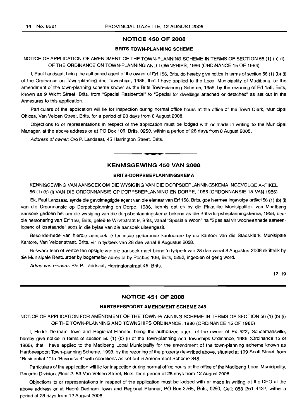## **NOTICE 450 OF 2008**

## **BRITS TOWN-PLANNING SCHEME**

## NOTICE OF APPLICATION OF AMENDMENT OF THE TOWN-PLANNING SCHEME IN TERMS OF SECTION 56 (1) (b) (i) OF THE ORDINANCE ON TOWN-PLANNING AND TOWNSHIPS, 1986 (ORDINANCE 15 OF 1986)

I, Paul Landsaat, being the authorised agent of the owner of Erf 156, Brits, do hereby give notice in terms of section 56 (1) (b) (i) of the Ordinance on Town-planning and Townships, 1986, that I have applied to the Local Municipality of Madibeng for the amendment of the town-planning scheme known as the Brits Town-planning Scheme, 1958, by the rezoning of Erf 156, Brits, known as 9 Wicht Street, Brits, from "Special Residential" to "Special for dwellings attached or detached" as set out in the Annexures to this application.

Particulars of the application will lie for inspection during normal office hours at the office of the Town Clerk, Municipal Offices, Van Velden Street, Brits, for a period of 28 days from 8 August 2008.

Objections to or representations in respect of the application must be lodged with or made in writing to the Municipal Manager, at the above address or at PO Box 106, Brits, 0250, within a period of 28 days from 8 August 2008.

Address of owner: C/o P. Landsaat, 45 Harrington Street, Brits.

## **KENNISGEWING 450 VAN 2008**

.**-.**

## **BRITS-DORPSBEPLANNINGSKEMA**

KENNISGEWING VAN AANSOEK OM DIE WYSIGING VAN DIE DORPSBEPLANNINGSKEMA INGEVOLGE ARTIKEL 56 (1) (b) (i) VAN DIE ORDONNANSIE OP DORPSBEPLANNING EN DORPE, 1986 (ORDONNANSIE 15 VAN 1986)

Ek, Paul Landsaat, synde die gevolmagtigde agent van die eienaar van Erf 156, Brits, gee hiermee ingevolge artikel 56 (1) (b) (i) van die Ordonnansie op Dorpsbeplanning en Dorpe, 1986, kennis dat ek by die Plaaslike Munisipaliteit van Madibeng aansoek gedoen het om die wysiging van die dorpsbeplanningskema bekend as die Brits-dorpsbeplanningskema, 1958, deur die hersonering van Erf 156, Brits, geleë te Wichtstraat 9, Brits, vanaf "Spesiale Woon" na "Spesiaal vir wooneenhede aaneenlopend of losstaande" soos in die bylae van die aansoek uiteengesit.

Besonderhede van hierdie aansoek lê ter insae gedurende kantoorure by die kantoor van die Stadsklerk, Munisipale Kantore, Van Veldenstraat, Brits, vir 'n tydperk van 28 dae vanaf 8 Augustus 2008.

Besware teen of vertoe ten opsigte van die aansoek moet binne 'n tydperk van 28 dae vanaf 8 Augustus 2008 skriftelik by die Munisipale Bestuurder by bogemelde adres of by Posbus 106, Brits, 0250, ingedien of gerig word.

Adres van eienaar: P/a P. Landsaat, Harringtonstraat 45, Brits.

12-19

## **NOTICE 451 OF 2008**

#### **HARTBEESPOORT AMENDMENT SCHEME 348**

## NOTICE OF APPLICATION FOR AMENDMENT OF THE TOWN-PLANNING SCHEME IN TERMS OF SECTION 56 (1) (b) (i) OF THE TOWN-PLANNING AND TOWNSHIPS ORDINANCE, 1986 (ORDINANCE 15 OF 1986)

I, Hedre Dednam Town and Regional Planner, being the authorized agent of the owner of Erf 522, Schoemansville, hereby give notice in terms of section 56 (1) (b) (i) of the Town-planning and Townships Ordinance, 1986 (Ordinance 15 of 1986), that I have applied to the Madibeng Local Municipality for the amendment of the town-planning scheme known as Hartbeespoort Town-planning Scheme, 1993, by the rezoning of the property described above, situated at 109 Scott Street, from "Residential 1" to "Business 4" with conditions as set out in Amendment Scheme 348.

Particulars of the application will lie for inspection during normal office hours at the office of the Madibeng Local Municipality, Records Division, Floor 2, 53 Van Velden Street, Brits, for a period of 28 days from 12 August 2008.

Objections to or representations in respect of the application must be lodged with or made in writing at the CEO at the above address or at Hedre Dednam Town and Regional Planner, PO Box 3765, Brits, 0250, Cell: 083 251 4432, within a period of 28 days from 12 August 2008.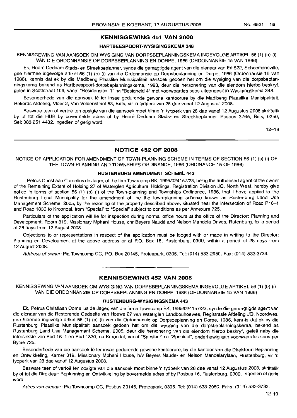#### HARTBEESPOORT-WYSIGINGSKEMA 348

KENNISGEWING VAN AANSOEK OM WYSIGING VAN DORPSBEPLANNINGSKEMA INGEVOLGE ARTIKEL 56 (1) (b) (i) VAN DIE ORDONNANSIE OP DORPSBEPLANNING EN DORPE, 1986 (ORDONNANSIE 15 VAN 1986)

Ek, Hedre Dednam Stads- en Streekbeplanner, synde die gemagtigde agent van die eienaar van Erf 522, Schoemansville, gee hiermee ingevolge artikel 56 (1) (b) (i) van die Ordonnansie op Dorpsbeplanning en Dorpe, 1986 (Ordonnansie 15 van 1986), kennis dat ek by die Madibeng Plaaslike Munisipaliteit aansoek gedoen het om die wysiging van die dorpsbeplanningskema bekend as Hartbeespoort-dorpsbeplanningskema, 1993, deur die hersonering van die eiendom hierbo beskryt, gelee in Scottstraat 109, vanaf "Residensieel 1" na "Besigheid 4" met voorwaardes soos uiteengesit in Wysigingskema 348.

Besonderhede van die aansoek lê ter insae gedurende gewone kantoorure by die Madibeng Plaaslike Munisipaliteit, Rekords Afdeling, Vloer 2, Van Veldenstraat 53, Brits, vir 'n tydperk van 28 dae vanaf 12 Augustus 2008.

Besware teen of vertoë ten opsigte van die aansoek moet binne 'n tydperk van 28 dae vanaf 12 Augustus 2008 skriftelik by of tot die HUB by bovermelde adres of by Hedre Dednam Stads- en Streekbeplanner, Posbus 3765, Brits, 0250, Sel: 083 251 4432, ingedien of gerig word.

 $12 - 19$ 

## NOTICE 452 OF 2008

NOTICE OF APPLICATION FOR AMENDMENT OF TOWN-PLANNING SCHEME IN TERMS OF SECTION 56 (1) (b) (i) OF THE TOWN-PLANNING AND TOWNSHIPS ORDINANCE, 1986 (ORDINANCE 15 OF 1986)

#### RUSTENBURG AMENDMENT SCHEME 443

I, Petrus Christiaan Cornelius de Jager, of the firm Towncomp BK, 1995/024157/23, being the authorised agent of the owner of the Remaining Extent of Holding 27 of Waterglen Agricultural Holdings, Registration Division JQ, North West, hereby give notice in terms of section 56 (1) (b) (i) of the Town-planning and Townships Ordinance, 1986, that I have applied to the Rustenburg Local Muncipality for the amendment of the the town-planning scheme known as Rustenburg Land Use Management Scheme, 2005, by the rezoning of the property described above, situated near the intersection of Road P16-1 and Road 1830 to Kroondal, from "Special" to "Special" subject to conditions as per Annexure 725.

Particulars of the application will lie for inspection during normal office hours at the office of the Director: Planning and Development, Room 319, Missionary Mpheni House, cnr Beyers Naude and Nelson Mandela Drives, Rutenburg, for a period of 28 days from 12 August 2008.

Objections to or representations in respect of the application must be lodged with or made in writing to the Director: Planning en Development at the above address or at P.O. Box 16, Rustenburg, 0300, within a period of 28 days from 12 August 2008.

Address of owner: PIa Towncomp CC, P.O. Box 20145, Proteapark, 0305. Tel: (014) 533-2950. Fax: (014) 533-3733.

## **•** KENNISGEWING 452 VAN 2008

KENNISGEWING VAN AANSOEK OM WYSIGING VAN DORPSBEPLANNINGSKEMA INGEVOLGE ARTIKEL 56 (1) (b) (i) VAN DIE ORDONNANSIE OP DORPSBEPLANNING EN DORPE, 1986 (ORDONNANSIE 15 VAN 1986)

## RUSTENBURG-WYSIGINGSKEMA 443

Ek, Petrus Christiaan Cornelius de Jager, van die firma Towncomp BK, *1995/024157/23,* synde die gemagtigde agent van die eienaar van die Hesterende Gedeelte van Hoewe 27 van Waterglen Lanclbouhoewes, Registrasie Afdeling JQ, Noordwes, gee hiermee ingevolge artkel 56 (1) (b) (i) van die Ordonnansie op Dorpsbeplanning en Dorpe, 1986, kennis dat ek by die Rustenburg Plaaslike Munisipaliteit aansoek gedoen het om die wysiging van die dorpsbeplanningskema, bekend as Rustenburg Land Use Management Scheme, 2005, deur die hersonering van die eiendom hierbo beskryf, geleë naby die interseksie van Pad 16-1 en Pad 1830, na Kroondal, vanaf "Spesiaal" na "Spesiaal", onderhewig aan voorwaardes soos per Bylae 725.

Besonderhede van die aansoek Ie ter insae gedurende gewone kantoorure, by die kantoor van die Direkteur: Beplanning en Ontwikkeling, Kamer 319, Missionary Mpheni House, hlv Beyers Naude- en Nelson Mandelarylaan, Rustenburg, vir 'n tydperk van 28 dae vanaf 12 Augustus 2008.

Besware teen of vertoë ten opsigte van die aansoek moet binne 'n tydperk van 28 dae vanaf 12 Augustus 2008, skriftelik by of tot die Direkteur: Beplanning en Ontwikkeling by bovermelde adres of by Posbus 16, Rustenburg, 0300, ingedien of gerig word.

Adres van eienaar: PIa Towncomp CC, Posbus 20145, Proteapark, 0305. Tel: (014) 533-2950. Faks: (014) 533-3733.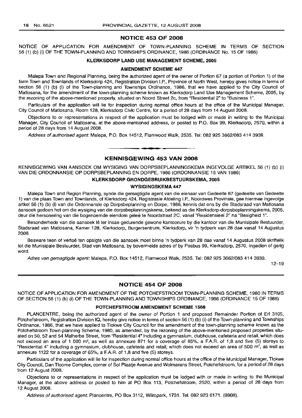## **NOTICE 453 OF 2008**

NOTICE OF APPLICATION FOR AMENDMENT OF TOWN-PLANNING SCHEME IN TERMS OF SECTION 56 (1) (b) (i) OF THE TOWN-PLANNING AND TOWNSHIPS ORDINANCE, 1986 (ORDINANCE No. 15 OF 1986)

## **KLERKSDORP LAND USE MANAGEMENT SCHEME, 2005**

#### **AMENDMENT SCHEME 447**

Malepa Town and Regional Planning, being the authorized agent of the owner of Portion 67 (a portion of Portion 1) of the farm Town and Townlands of Klerksdorp 424, Registration Division I.P., Province of North West, hereby gives notice in terms of section 56 (1) (b) (i) of the Town-planning and Townships Ordinance, 1986, that we have applied to the City Council of Matlosana, for the amendment of the town-planning scheme known as Klerksdorp Land Use Management Scheme, 2005, by the rezoning of the above-mentioned property, situated on Noord Street 2c, from "Residential 2" to "Business 1".

Particulars of the application will lie for inspection during normal office hours at the office of the Municipal Manager, City Council of Matlosana, Room 128, Klerksdorp Civic Centre, for a period of 28 days from 14 August 2008.

Objections to or representations in respect of the application must be lodged with or made in writing to the Municipal Manager, City Council of Matlosana, at the above-mentioned address, or posted to P.O. Box 99, Klerksdorp, 2570, within a period of 28 days from 14 August 2008.

Address of authorised agent: Malepa, P.O. Box 14512, Flamwood Walk, 2535. Tel: 082 925 3662/083 414 3939.

**• •**

## **KENNISGEWING 453 VAN 2008**

KENNISGEWING VAN AANSOEK OM WYSIGING VAN DORPSBEPLANNINGSKEMA INGEVOLGE ARTIKEL 56 (1) (b) (i) VAN DIE ORDONNANSIE OP DORPSBEPLANNING EN DORPE, 1986 (ORDONNANSIE 15 VAN 1986)

## **KLERKSDORP GRONDGEBRUIKBESTUURSKEMA, 2005**

#### **WYSIGINGSKEMA 447**

Malepa Town and Region Planning, synde die gemagtigde agent van die eienaar van Gedeelte 67 (gedeelte van Gedeelte 1) van die plaas Town and Townlands, of Klerksdorp 424, Registrasie Afdeling I.P., Noordwes Provinsie, gee hiermee ingevolge artkel 56 (1) (b) (i) van die Ordonnansie op Dorpsbeplanning en Dorpe, 1986, kennis dat ons by die Stadsraad van Matlosana aansoek gedoen het om die wysiging van die dorpsbeplanningskema, bekend as die Klerksdorp-dorpsbeplanningskema, 2005, deur die hersonering van die bogenoemde eiendom gelee te Noordstraat 2C, vanaf "Residensieel 2" na "Besigheid 1".

Besonderhede van die aansoek Ie ter insae gedurende gewone kantoorure by die kantoor van die Munisipale Bestuurder, Stadsraad van Matlosana, Kamer 128, Klerksdorp, Burgersentrum, Klerksdorp, vir 'n tydperk van 28 dae vanaf 14 Augustus 2008.

Besware teen of vertoë ten opsigte van die aansoek moet binne 'n tydperk van 28 dae vanaf 14 Augustus 2008 skriftelik tot die Munisipale Bestuurder, Stad van Matlosana, by bovermelde adres of by Posbus 99, Klerksdorp, 2570, ingedien of gerig word.

Adres van gemagtigde agent: Malepa, P.O. Box 14512, Flamwood Walk, 2535. Tel: 082 925 3662/083 414 3939.

12-19

## **NOTICE 454 OF 2008**

NOTICE OF APPLICATION FOR AMENDMENT OF THE POTCHEFSTROOM TOWN-PLANNING SCHEME, 1980 IN TERMS OF SECTION 56 (1) (b) (i) OF THE TOWN-PLANNING AND TOWNSHIPS ORDINANCE, 1986 (ORDINANCE 15 OF 1986)

## **POTCHEFSTROOM AMENDMENT SCHEME 1568**

PLANCENTRE, being the authorized agent of the owner of Portion 1 and proposed Remainder Portion of Erf 3105, Potchefstroom, Registration Division IQ, hereby give notice in terms of section 56 (1) (b) (i) of the Town-planning and Townships Ordinance, 1986, that we have applied to Tlokwe City Council for the amendment of the town-planning scheme known as the Potchefstroom Town-planning Scheme, 1980, as amended, by the rezoning of the above-mentioned proposed properties situated on 50, 52 and 54 Malherbe Street, from "Residential 4" including a gymnasium, clubhouse, cafeteria and retail, which does not exceed an area of 1 000 m2, as well as annexure 871 for a coverage of 65%, a F.A.R. of 1,8 and five (5) storeys to "Residential 4" including a gymnasium, clubhouse, cafeteria and retail, which does not exceed an area of 500  $m^2$ , as well as annexure 1122 for a coverage of 65%, a F.A.R. of 1,8 and five (5) storeys.

Particulars of the application will lie for inspection during normal office hours at the office of the Municipal Manager, Tlokwe City Council, Dan Tloome Complex, corner of Sol Plaatje Avenue and Wolmarans Street, Potchefstroom, for a period of 28 days from 12 August 2008.

Objections to or representations in respect of the application must be lodged with or made in writing to the Municipal Manager, at the above address or posted to him at PO Box 113, Potchefstroom, 2520, within a period of 28 days from 12 August 2008.

Address of authorised agent: Plancentre, PO Box 3112, Wilropark, 1731. Tel. 082 923 6171. (0808).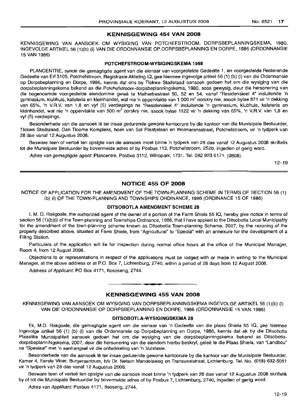## KENNISGEWING 454 VAN 2008

KENNISGEWING VAN AANSOEK OM WYSIGING VAN POTCHEFSTROOM, DORPSBEPLANNINGSKEMA, 1980. INGEVOLGE ARTIKEL 56 (1)(b) (i) VAN DIE ORDONNANSIE OP DORPSBEPLANNING EN DORPE, 1986 (ORDONNANSIE 15 VAN 1986)

## POTCHEFSTROOM-WYSIGINGSKEMA 1568

PLANCENTRE, synde die gemagtigde agent van die eienaar van voorgestelde Gedeelte 1, en voorgestelde Resterende Gedeelte van Erf 310S, Potchefstroom, Registrasie Afdeling IQ, gee hiermee ingevolge artikel 56 (1) (b) (i) van die Ordonnansie op Dorpsbeplanning en Dorpe, 1986, kennis dat ons by Tlokwe Stadsraad aansoek gedoen het om die wysiging van die dorpsbeplanningskema bekend as die Potchefstroom-dorpsbeplanningskema, 1980, soos gewysig, deur die hersonering van die bogenoemde voorgestelde eiendomme geleë te Malherbestraat 50, 52 en 54, vanaf "Residensieel 4" insluitende 'n gymnasium, klubhuis, kafeteria en kleinhandel, wat nie 'n oppervlakte van 1 000 m<sup>2</sup> oorskry nie, asook bylae 871 vir 'n dekking van 65%, 'n V.R.V. van 1,8 en vyf (5) verdiepings na "Residensieel 4" insluitende 'n gymnasium, klubhuis, kafeteria en kleinhandel, wat nie 'n oppervlakte van 500 m<sup>2</sup> oorskry nie, asook bylae 1122 vir 'n dekking van 65%, 'n V.R.V. van 1,8 en vyf (5) verdiepings.

Besonderhede van die aansoek lê ter insae gedurende gewone kantoorure by die kantoor van die Munisipale Bestuurder, Tlokwe Stadsraad, Dan Tloome Kompleks, hoek van Sol Plaatjelaan en Wolmaransstraat, Potchefstroom, vir 'n tydperk van 28 dae vanaf 12 Augustus 2008.

Besware teen of vertoe ten opsigte van die aansoek moet binne 'n tydperk van 28 dae vanaf 12 Augustus 2008 skriftelik tot die Munisipale Bestuurder by bovermelde adres of by Posbus 113, Potchefstroom, 2520, ingedien of gerig word.

Adres van gemagtigde agent: Plancentre, Posbus 3112, Wilropark, 1731. Tel. 082 923 6171. (0808).

12-19

## NOTICE 455 OF 2008

NOTICE OF APPLICATION FOR THE AMENDMENT OF THE TOWN-PLANNING SCHEME IN TERMS OF SECTION 56 (1) (b) (i) OF THE TOWN-PLANNING AND TOWNSHIPS ORDINANCE, 1986 (ORDINANCE 15 OF 1986)

## DITSOBOTLA AMENDMENT SCHEME 28

I, M. D. Rakgoale, the authorized agent of the owner of a portion of the Farm Shiela 55 IQ, hereby give notice in terms of section 56 (1)(b)(i) of the Town-planning and Townships Ordinance, 1986, that I have applied to the Ditsobotla Local Municipality for the amendment of the town-planning scheme known as Ditsobotla Town-planning Scheme, 2007, by the rezoning of the property described above, situated at Farm Shiela, from "Agricultural" to "Special" with an annexure for the development of a Filling Station.

Particulars of the application will lie for inspection during normal office hours at the office of the Municipal Manager, Room 4, from 12 August 2008.

Objections to or representations in respect of the applications must be, lodged with or made in writing to the Municipal Manager, at the above address or at P.O. Box 7, Lichtenburg, 2740, within a period of 28 days from 12 August 2008.

Address of Applicant: PO Box 4171, Itososeng, 2744.

## **- I** KENNISGEWING 455 VAN 2008

KENNISGEWING VAN AANSOEK OM WYSIGING VAN DORPSBEPLANNINGSKEMA INGEVOLGE ARTIKEL 56 (1)(b) (i) VAN DIE ORDONNANSIE OP DORPSBEPLANNING EN DORPE, 1986 (ORDONNANSIE 15 VAN 1986)

#### DITSOBOTLA-WYSIGINGSKEMA 28

Ek, M.D. Rakgoale, die gemagtigde agent van die eienaar van 'n Gedeelte van die plaas Shiela 55 IQ, gee hiermee ingevolge artikel 56 (1) (b) (i) van die Ordonnansie op Dorpsbeplanning en Dorpe, 1986, kennis dat ek by die Ditsobotla Plaaslike Munisipaliteit aansoek gedoen het om die wysiging van die dorpsbeplanningskema bekend as DitsobotladorpsbeplanniNgskema, 2007, deur die hersonering van die eiendom hierbo beskryf, gelee te die Plaas Shiela, van "Landbou" na "Spesiaal" met 'n aanhangsel vir die ontwikkeling van 'n Vulstasie.

Besonderhede van die aansoek Ie ter insae gedurende gewone kantoorure by die kantoor van die Munisipale Bestuurder, Kamer 4, Eerste Vloer, Burgersentrum, h/v Dr. Nelson Mandelaweg en Transvaalstraat, Lichtenburg. Tel. No. (018) 632-5051 vir 'n tydperk van 28 dae vanaf 12 Augustus 2008.

Besware teen of vertoë ten opsigte van die aansoek moet binne 'n tydperk van 28 dae vanaf 12 Augustus 2008 skriftelik by of tot die Munisipale Bestuurder by bovermelde adres of by Posbus 7, Lichtenburg, 2740, ingedien of gerig word.

Adres van Applikant: Posbus 4171, Itsoseng, 2744.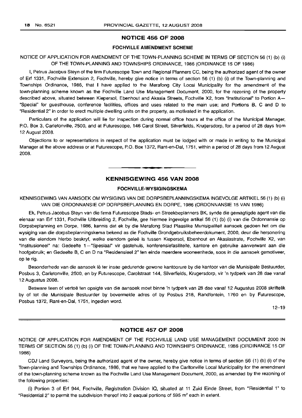## NOTICE 456 OF 2008

## FOCHVILLE AMENDMENT SCHEME

## NOTICE OF APPLICATION FOR AMENDMENT OF THE TOWN-PLANNING SCHEME IN TERMS OF SECTION 56 (1) (b) (i) OF THE TOWN-PLANNING AND TOWNSHIPS ORDINANCE, 1986 (ORDINANCE 15 OF 1986)

I, Petrus Jacobus Steyn of the firm Futurescope Town and Regional Planners CC, being the authorized agent of the owner of Erf 1331, Fochville Extension 2, Fochville, hereby give notice in terms of section 56 (1) (b) (i) of the Town-planning and Townships Ordinance, 1986, that I have applied to the Merafong City Local Municipality for the amendment of the town-planning scheme known as the Fochville Land Use Management Document, 2000, for the rezoning of the property described above, situated between Kiepersol, Ebenhout and Akasia Streets, Fochville X2, from "Institutional" to Portion A- "Special" far guesthouse, conference facilities, offices and uses related to the main use; and Portions B, C and D to "Residential 2" in order to erect multiple dwelling units on the property, as motivated in the application.

Particulars of the application will lie for inspection during normal office hours at the office of the Municipal Manager, P.O. Box 3, Carletonville, 2500, and at Futurescope, 146 Carol Street, Silverfields, Krugersdorp, for a period of 28 days from 12 August 2008.

Objections to or representations in respect of the application must be lodged with or made in writing to the Municipal Manager at the above address or at Futurescope, P.O. Box 1372, Rant-en-Dal, 1751, within a period of 28 days from 12 August 2008.

## KENNISGEWING 456 VAN 2008

**• •**

## FOCHVILLE-WYSIGINGSKEMA

KENNISGEWING VAN AANSOEK OM WYSIGING VAN DIE DORPSBEPLANNINGSKEMA INGEVOLGE ARTIKEL 56 (1) (b) (i) VAN DIE ORDONNANSIE OP DORPSBEPLANNING EN DORPE, 1986 (ORDONNANSIE 15 VAN 1986)

Ek, Petrus Jacobus Steyn van die firma Futurescope Stads- en Streekbeplanners BK, synde die gemagtigde agent van die eienaar van Erf 1331, Fochville Uitbreiding 2, Fochville, gee hiermee ingevolge artikel 56 (1) (b) (i) van die Ordonnansie op Dorpsbeplanning en Darpe, 1986, kennis dat ek by die Merafong Stad Plaaslike Munisipaliteit aansoek gedoen het om die wysiging van die dorpsbeplanningskema bekend as die Fochville Grondgebruiksbeheerdokument, 2000, deur die hersonering van die eiendom hierbo beskryf, welke eiendom gelee is tussen Kiepersol, Ebenhout en Akasiastrate, Fochville X2, van "Institusioneel" na: Gedeelte l-"Spesiaal" vir gastehuis, konferensiefasiliteite, kantore en gebruike aanverwant aan die hoofgebruik; en Gedeelte B, C en D na "Residensieel 2" ten einde meerdere wooneenhede, soos in die aansoek gemotiveer, op te rig.

Besonderhede van die aansoek lê ter insae gedurende gewone kantoorure by die kantoor van die Munisipale Bestuurder, Posbus 3, Carletonville, 2500, en by Futurescope, Carolstraat 144, Silverfields, Krugersdorp, vir 'n tydperk van 28 dae vanaf 12 Augustus 2008.

Besware teen of vertoë ten opsigte van die aansoek moet binne 'n tydperk van 28 dae vanaf 12 Augustus 2008 skriftelik by of tot die Munisipale Bestuurder by bovermelde adres of by Posbus 218, Randfontein, 1760 en by Futurescope, Posbus 1372, Rant-en-Dal, 1751, ingedien word.

12-19

## NOTICE 457 OF 2008

NOTICE OF APPLICATION FOR AMENDMENT OF THE FOCHVILLE LAND USE MANAGEMENT DOCUMENT 2000 IN TERMS OF SECTION 56 (1) (b) (i) OF THE TOWN-PLANNING AND TOWNSHIPS ORDINANCE, 1986 (ORDINANCE 15 OF 1986)

CD.' Land Surveyors, being the authorized agent of the owner, hereby give notice in terms of section 56 (1) (b) (i) of the Town-planning and Townships Ordinance, 1986, that we have applied to the Carltonville Local Municipality for the amendment of the town-planning scheme known as the Fochville Land Use Management Document, 2000, as amended by the rezoning of the following properties:

(i) Portion 3 of Erf 944, Fochville, Registration Division la, situated at 11 Zuid Einde Street, from "Residential 1" to "Residential 2" to permit the subdivision thereof into 2 eagual portions of 595  $m<sup>2</sup>$  each in extent.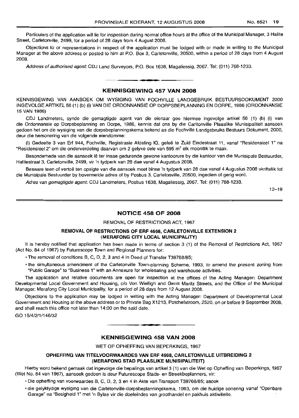Particulars of the application will lie for inspection during normal office hours at the office of the Municipal Manager, 3 Halite Street, Carletonville, 2499, for a period of 28 days from 4 August 2008.

Objections to or representations in respect of the application must be lodged with or made in writing to the Municipal Manager at the above address or posted to him at P.O. Box 3, Carletonville, 20500, within a period of 28 days from 4 August 2008.

Address of authorised agent: CDJ land Surveyors, P.O. Box 1638, Magaliessig, 2067. Tel: (011) 768-1233. .**-.**

## **KENNISGEWING 457 VAIN 2008**

KENNISGEWING VAN AANSOEK OM WYSIGING VAN FOCHVlllE lANDGEBRUIK BESTUURSDOKUMENT 2000 INGEVOlGE ARTIKEl56 (1) (b) (i) VAN DIE ORDONNANSIE OP DORPSBEPlANNING EN DORPE, 1986 (ORDONNANSIE 15 VAN 1986)

CDJ landmeters, synde die gemagtigde agent van die eienaar gee hiermee ingevolge artikel 56 (1) (b) (i) van die Ordonnansie op Dorpsbeplanning en Dorpe, 1986, kennis dat ons by die Carltonville Plaaslike Munisipaliteit aansoek gedoen het om die wysiging van die dorpsbeplanningskema bekend as die Fochville landgebruiks Bestuurs Dokument, 2000, deur die hersonering van die volgende eiendomme:

(i) Gedeelte 3 van Erf 944, Fochville, Registrasie Afdeling IQ, gelee te Zuid Eindestraat 11, vanaf "Residensieel 1" na "Residensieel 2" om die onderverdeling daarvan om 2 gelyke dele van 595 m<sup>2</sup> elk moontlik te maak.

Besonderhede van die aansoek lê ter insae gedurende gewone kantoorure by die kantoor van die Munisipale Bestuurder, Halitestraat 3, Carletonville, 2499, vir 'n tydperk van 28 dae vanaf 4 Augustus 2008.

Besware teen of vertoë ten opsigte van die aansoek moet binne 'n tydperk van 28 dae vanaf 4 Augustus 2008 skriftelik tot die Munisipale Bestuurder by bovermelde adres of by Posbus 3, Carletonville, 20500, ingedien of gerig word.

Adres van gemagtigde agent: CDJ landmeters, Posbus 1638, Magaliessig, 2067. Tel: (011) 768-1233.

12-19

## **NOTICE 458 OF 2008**

## REMOVAL OF RESTRICTIONS ACT, 1967

## **REMOVAL OF RESTRICTIONS OF ERF 4668, CARLETONVILLE EXTENSION 2 (MERAFONG CITY LOCAL MUNICIPALITY)**

It is hereby notified that application has been made in terms of section 3 (1) of the Removal of Restrictions Act, 1967 (Act No. 84 of 1967) by Futurescope Town and Regional Planners for:

• The removal of conditions B, C, D, 2, 3 and 4 in Deed of Transfer T39768/85;

• the simultaneous amendment of the Carletonville Town-planning Scheme, 1993, to amend the present zoning from "Public Garage" to "Business 1" with an Annexure for Wholesaling and warehouse activities.

The application and relative documents are open for inspection at the offices of the Acting Manager: Department Developmental local Government and Housing, c/o Von Wielligh and Gerrit Maritz Streets, and the Office of the Municipal Manager: Merafong City local Municipality, for a period of 28 days from 12 August 2008.

Objections to the application may be lodged in writing with the Acting Manager: Department of Developmental local Government and Housing at the above address or to Private Bag X1213, Potchefstroom, 2520, on or before 9 September 2008, and shall reach this office not later than 14:00 on the said date.

GO 15/4/2/1/146/32

## **KENNISGEWING 458 VAN 2008**

**.-**

WET OP OPHEFFING VAN BEPERKINGS, 1967

## **OPHEFFING VAN TITELVOORWAARDES VAN ERF** 4668, **CARLETONVILLE UITBREIDING** 2 **(MERAFONG STAD PLAASLIKE MUNISIPALITEIT)**

Hierby word bekend gemaak dat ingevolge die bepalings van artikel3 (1) van die Wet op Opheffing van Beperkings, 1967 (Wet No. 84 van 1967), aansoek gedoen is deur Futurescope Stads- en Streekbeplanners, vir:

- Die opheffing van voorwaardes B, C, D, 2, 3 en 4 in Akte van Transport T39768/85; asook
- die gelyktydige wysiging van die Carletonville-dorpsbeplanningskema. 1993, om die huidige sonering vanaf "Openbare Garage" na "Besigheid 1" met 'n Bylae vir die doeleindes van groothandel en pakhuis aktiwiteite.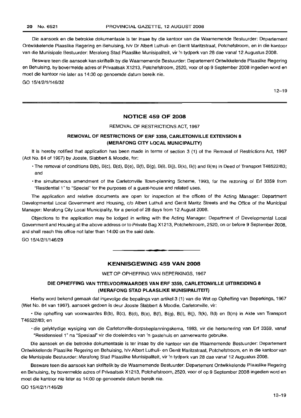Die aansoek en die betrokke dokumentasie is ter insae by die kantoor van die Waarnemende Bestuurder: Departement Ontwikkelende Plaaslike Regering en Behuising, h/v Dr Albert Luthuli- en Gerrit Maritzstraat, Potchefstroom, en in die kantoor van die Munisipale Bestuurder: Merafong Stad Plaaslike Munisipaliteit, vir 'n tydperk van 28 dae vanaf 12 Augustus 2008.

Besware teen die aansoek kan skriftelik by die Waarnemende Bestuurder: Departement Ontwikkelende Plaaslike Regering en Behuising, by bovermelde adres of Privaatsak X1213, Potchefstroom, 2520, voor of op 9 September 2008 ingedien word en moet die kantoor nie later as 14:00 op genoemde datum bereik nie.

GO 15/4/2/1/146/32

 $12 - 19$ 

## **NOTICE 459 OF 2008**

#### REMOVAL OF RESTRICTIONS ACT, 1967

## **REMOVAL OF RESTRICTIONS OF ERF** 3359, **CARLETONVILLE EXTENSION 8 (MERAFONG CITY LOCAL MUNICIPALITY)**

It is hereby notified that application has been made in terms of section 3 (1) of the Removal of Restrictions Act, 1967 (Act No. 84 of 1967) by Jooste, Siabbert & Moodie, for:

- The removal of conditions B(b), B(c), B(d), B(e), B(f), B(g), B(i), BU), B(k), B(I) and B(m) in Deed of Transport T46522/83; and
- the simultaneous amendment of the Carletonville Town-planning Scheme, 1993, for the rezoning of Erf 3359 from "Residential 1" to "Special" for the purposes of a guest-house and related uses.

The application and relative documents are open for inspection at the offices of the Acting Manager: Department Developmental Local Government and Housing, c/o Albert Luthuli and Gerrit Maritz Streets and the Office of the Municipal Manager: Merafong City Local Municipality, for a period of 28 days from 12 August 2008.

Objections to the application may be lodged in writing with the Acting Manager: Department of Developmental Local Government and Housing at the above address or to Private Bag X1213, Potchefstroom, 2520, on or before 9 September 2008, and shall reach this office not later than 14:00 on the said date.

GO 15/4/2/1/146/29

## **KENNISGEWING 459 VAN 2008**

**•**

WET OP OPHEFFING VAN BEPERKINGS, 1967

## **DIE OPHEFFING VAN TITELVOORWAARDES VAN ERF** 3359, **CARLETONVILLE UITBREIDING 8 (MERAFONG STAD PLAASLIKE MUNISIPALITEIT)**

Hierby word bekend gemaak dat ingevolge die bepalings van artikel 3 (1) van die Wet op Opheffing van Beperkings, 1967 (Wet No. 84 van 1967), aansoek gedoen is deur Jooste Siabbert & Moodie, Carletonville, vir:

• Die opheffing van voorwaardes B(b), B(c), B(d), B(e), B(f), B(g), B(i), B(j), B(k), B(I) en B(m) in Akte van Transport T46522/83; en

• die gelyktydige wysiging van die Carletonville-dorpsbeplanningskema, 1993, vir die hersonering van Erf 3359, vanaf "Residensieel 1" na "Spesiaal" vir die doeleindes van 'n gastehuis en aanverwante gebruike.

Die aansoek en die betrokke dokumentasie is ter insae by die kantoor van die Waarnemende Bestuurder: Departement Ontwikkelende Plaaslike Regering en Behuising, h/v Albert Luthuli- en Gerrit Maritzstraat, Potchefstroom, en in die kantoor van die Munisipale Bestuurder: Merafong Stad Plaaslike Munisipaliteit, vir 'n tydperk van 28 dae vanaf 12 Augustus 2008.

Besware teen die aansoek kan skriftelik by die Waarnemende Bestuurder: Departement Ontwikkelende Plaaslike Regering en Behuising, by bovermelde adres of Privaatsak X1213, Potchefstroom, 2520, voor of op 9 September 2008 ingedien word en moet die kantoor nie later as 14:00 op genoemde datum bereik nie.

GO 15/4/2/1/146/29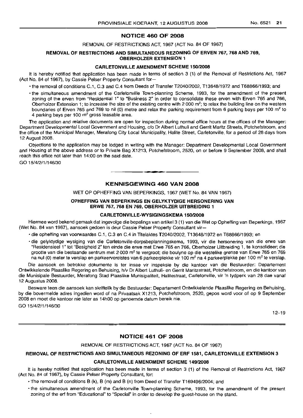## NOTICE 460 OF 2008

REMOVAL OF RESTRICTIONS ACT, 1967 (ACT No. 84 OF 1967)

## REMOVAL OF RESTRICTIONS AND SIMULTANEOUS REZONING OF ERVEN 767, 768 AND 769, OBERHOLZER EXTENSION 1

#### CARLETONVILLE AMENDMENT SCHEME 150/2008

It is hereby notified that application has been made in terms of section 3 (1) of the Removal of Restrictions Act, 1967 (Act No. 84 of 1967), by Cassie Peiser Property Consultant for-

• the removal of conditions C.1, C.3 and C.4 from Deeds of Transfer T2040/2002, T13648/1972 and T68866/1993; and

• the simultaneous amendment of the Carletonville Town-planning Scheme, 1993, for the amendment of the present zoning of the erven from "Residential 1" to "Business 2" in order to consolidate these erven with Erven 765 and 766, Oberholzer Extension 1; to increase the size of the existing centre with 2 000  $m^2$ ; to relax the building line on the western boundaries of Erven 765 and 769 to nil (0) metre and relax the parking requirement from 6 parking bays per 100 m<sup>2</sup> to 4 parking bays per 100 m<sup>2</sup> gross leasable area.

The application and relative documents are open for inspection during normal office hours at the offices of the Manager: Department Developmental Local Government and Housing, c/o Dr Albert Luthuli and Gerrit Maritz Streets, Potchefstroom, and the office of the Municipal Manager, Merafong City Local Municipality, Halite Street, Carletonville, for a period of 28 days from 12 August 2008.

Objections to the application may be lodged in writing with the Manager: Department Developmental Local Government and Housing at the above address or to Private Bag X1213, Potchefstroom, 2520, on or before 9 September 2008, and shall reach this office not later than 14:00 on the said date.

GO 15/4/2/1/146/30

## KENNISGEWING 460 VAN 2008

**-**

WET OP OPHEFFING VAN BEPERKINGS, 1967 (WET No. 84 VAN 1967)

## OPHEFFING VAN BEPERKINGS EN GELYKTYDIGE HERSONERING VAN ERWE 767, 768 EN 769, OBERHOLZER UITBREIDING 1

## CARLETONVILLE-WYSIGINGSKEMA 150/2008

Hiermee word bekend gemaak dat ingevolge die bepalings van artikel 3 (1) van die Wet op Opheffing van Beperkings, 1967 (Wet No. 84 van 1967), aansoek gedoen is deur Cassie Peiser Property Consultant vir-

- die opheffing van voorwaardes C.1, C.3 en C.4 in Titelaktes T2040/2002, T13648/1972 en T68866/1993; en
- die gelyktydige wysiging van die Carletonville-dorpsbeplanningskema, 1993, vir die hersonering van die erwe van "Residensieel 1" tot "Besigheid 2" ten einde die erwe met Erwe 765 en 766, Oberholzer Uitbreiding 1, te konsolideer; die grootte van die bestaande sentrum met 2 000 m<sup>2</sup> te vergroot; die boulyne op die westelike grense van Erwe 765 en 769 na nul (0) meter te verslap en parkeervereistes van 6 parkeerplekke vir 100 m<sup>2</sup> na 4 parkeerplekke per 100 m<sup>2</sup> te verslap.

Die aansoek en betrokke dokumente is ter insae vir inspeksie by die kantoor van die Bestuurder: Departement Ontwikkelende Plaaslike Regering en Behuising, hlv Dr Albert Luthuli- en Gerrit Maritzstraat, Potchefstroom, en die kantoor van die Munisipale Bestuurder, Merafong Stad Plaaslike Munisipaliteit, Halitestraat, Carletonville, vir 'n tydperk van 28 dae vanaf 12 Augustus 2008.

Besware teen die aansoek kan skriftelik by die Bestuurder: Departement Ontwikkelende Plaaslike Regering en Behuising, by die bovermelde adres ingedien word of na Privaatsak X1213, Potchefstroom, 2520, gepos word voor of op 9 September 2008 en moet die kantoor nie later as 14hOO op genoemde datum bereik nie.

GO 15/4/2/1/146/30

12-19

## NOTICE 461 OF 2008

#### REMOVAL OF RESTRICTIONS ACT, 1967 (ACT No. 84 OF 1967)

## REMOVAL OF RESTRICTIONS AND SIMULTANEOUS REZONING OF ERF 1581, CARLETONVILLE EXTENSION 3

#### CARLETONVILLE AMENDMENT SCHEME 149/2008

It is hereby notified that application has been made in terms of section 3 (1) of the Removal of Restrictions Act, 1967 (Act No. 84 of 1967), by Cassie Peiser Property Consultant, for:

 $\ddot{\phantom{0}}$ 

- The removal of conditions B (k), B (m) and B (n) from Deed of Transfer T169496/2004; and
- the simultaneous amendment of the Carletonville Town-planning Scheme, 1993, for the amendment of the present zoning of the ert from "Educational" to "Special" in order to develop the guest-house on the stand.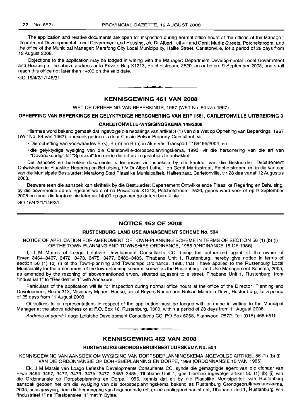The application and relative documents are open for inspection during normal office hours at the offices of the Manager: Department Developmental Local Government and Housing, c/o Dr Albert Luthuli and Gerrit Maritz Streets, Potchefstroom, and the office of the Municipal Manager: Merafong City Local Municipality, Halite Street, Carletonville, for a period of 28 days from 12 August 2008.

Objections to the application may be lodged in writing with the Manager: Department Developmental Local Government and Housing at the above address or to Private Bag X1213, Potchefstroom, 2520, on or before 9 September 2008, and shall reach this office not later than 14:00 on the said date.

GO 15/4/2/1/146/31

## KENNISGEWING 461 VAN 2008

**-**

WET OP OPHEFFING VAN BEPERKINGS, 1967 (WET No. 84 van 1967)

#### OPHEFFING VAN BEPERKINGS EN GELYKTYDIGE HERSONERING VAN ERF 1581, CARLETONVILLE UITBREIDING 3

#### CARLETONVILLE-WYSIGINGSKEMA 149/2008

Hiermee word bekend gemaak dat ingevolge die bepalings van artikel 3 (1) van die Wet op Opheffing van Beperkings, 1967 (Wet No. 84 van 1967), aansoek gedoen is deur Cassie Peiser Property Consultant, vir:

• Die opheffing van voorwaardes B (k), B (m) en B (n) in Akte van Transport T169496/2004; en

• die gelyktydige wysiging van die Carletonville-dorpsbeplanningskema, 1993, vir die hersonering van die erf van "Opvoedkundig" tot "Spesiaal" ten einde die erf as 'n gastehuis te ontwikkel.

Die aansoek en betrokke dokumente is ter insae vir inspeksie by die kantoor van die Bestuurder: Departement Ontwikkelende Plaaslike Regering en Behuising, h/v Dr Albert Luthuli- en Gerrit Maritzstraat, Potchefstroom, en in die kantoor van die Munisipale Bestuurder: Merafong Stad Plaaslike Munisipaliteit, Halitestraat, Carletonville, vir 28 dae vanaf 12 Augustus 2008.

Besware teen die aansoek kan skriftelik by die Bestuurder: Departement Ontwikkelende Plaaslike Regering en Behuising, by die bovermelde adres ingedien word of na Privaatsak X1213, Potchefstroom, 2520, gepos word voor of op 9 September 2008 en moet die kantoor nie later as 14hOO op genoemde datum bereik nie.

GO 15/4/2/1/146/31

## NOTICE 462 OF 2008

#### RUSTENBURG LAND USE MANAGEMENT SCHEME No. 504

NOTICE OF APPLICATION FOR AMENDMENT OF TOWN-PLANNING SCHEME IN TERMS OF SECTION 56 (1) (b) (i) OF THE TOWN-PLANNING AND TOWNSHIPS ORDINANCE, 1986 (ORDINANCE 15 OF 1986)

I, J M Marais of Loago Lefatshe Development Consultants CC, being the authorized agent of the owner of Erven 3464-3467, 3472, 3473, 3475, 3477, 3483-3485, Tlhabane Unit 1, Rustenburg, hereby give notice in terms of section 56 (1) (b) (i) of the Town-planning and Townships Ordinance, 1986, that I have applied to the Rustenburg Local Municipality for the amendment of the town-planning scheme known as the Rustenburg Land Use Management Scheme, 2005, as amended by the rezoning of abovementioned erven, situated adjasent to a street, Tlhabane Unit 1, Rustenburg, from "Industrial 1" to "Residential 1" with Annexure.

Particulars of the application will lie for inspection during normal office hours at the office of the Director: Planning and Development, Room 313, Misionary Mpheni House, cnr of Beyers Naude and Nelson Mandela Drive, Rustenburg, for a period of 28 days from 11 August 2008.

Objections to or representations in respect of the application must be lodged with or made in writing to the Municipal Manager at the above address or at P.O. Box 16, Rustenburg, 0300, within a period of 28 days from 11 August 2008.

Address of agent: Loago Lefatshe Development Consultants CC, PO Box 6258, Flamwood, 2572. Tel: (018) 468-5519.

#### KENNISGEWING 462 VAN 2008

**1\_'**

## RUSTENBURG GRONDGEBRUIKBESTUURSKEMA No. 504

KENNISGEWING VAN AANSOEK OM WYSIGING VAN DORPSBEPLANNINGSKEMA INGEVOLGE ARTIKEL 56 (1) (b) (i) VAN DIE ORDONNANSIE OP DORPSBEPLANNING EN DORPE, 1998 (ORDONNANSIE 15 VAN 1986)

Ek, J M Marais van Loago Lefatshe Developments Consultants CC, synde die gemagtigde agent van die eienaar van Erwe 3464-3467, 3472, 3473, 3475, 3477, 3483-3485, Tlhabane Unit 1, gee hiermee ingevolge artikel 56 (1) (b) (i) van die Ordonnansie op Dorpsbeplanning en Dorpe, 1986, kennis dat ek by die Plaaslike Munisipaliteit van Rustenburg aansoek gedoen het om die wysiging van die dorpsbeplanningskema bekend as Rustenburg Grondgebruikbestuurskema, 2005, soos gewysig, deur die hersonering van bogenoemde erf, gelee aanliggend aan straat, Tlhabane Unit 1, Rustenburg, van "Industrieel 1" na "Residensieel 1" met 'n Bylae.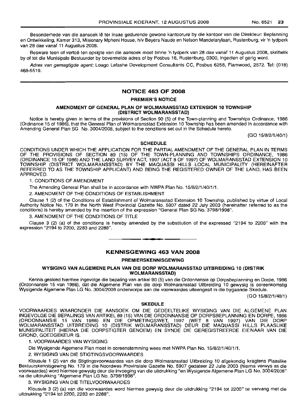Besonderhede van die aansoek lê ter insae gedurende gewone kantoorure by die kantoor van die Direkteur: Beplanning en Ontwikkeling, Kamer 313, Misionary Mpheni House, h/v Beyers Naude en Nelson Mandelarylaan, Rustenburg, vir 'n tydperk van 28 dae vanaf 11 Augustus 2008.

Besware teen of vertoë ten opsigte van die aansoek moet binne 'n tydperk van 28 dae vanaf 11 Augustus 2008, skriftelik by of tot die Munisipale Bestuurder by bovermelde adres of by Posbus 16, Rustenburg, 0300, ingedien of gerig word.

Adres van gemagtigde agent: Loago Lefashe Development Consultants CC, Posbus 6258, Flamwood, 2572. Tel: (018) 468-5519.

## NOTICE 463 OF 2008

## PREMIER'S NOTICE

#### AMENDMENT OF GENERAL PLAN OF WOLMARANSSTAD EXTENSION 10 TOWNSHIP (DISTRICT WOLMARANSSTAD)

Notice is hereby given in terms of the provisions of Section 90 (5) of the Town-planning and Townships Ordinance, 1986 (Ordinance 15 of 1986), that the General Plan of Wolmaransstad Extension 10 Township has been amended in accordance with Amending General Plan SG No. 3004/2008, subject to the conditions set out in the Schedule hereto.

(GO 15/8/2/1/40/1)

## SCHEDULE

CONDITIONS UNDER WHICH THE APPLICATION FOR THE PARTIAL AMENDMENT OF THE GENERAL PLAN IN TERMS OF THE PROVISIONS OF SECTION 89 (15) OF THE TOWN-PLANNING AND TOWNSHIPS ORDINANCE, 1986 (ORDINANCE 15 OF 1986) AND THE LAND SURVEY ACT, 1997 (ACT 8 OF 1997) OF WOLMARANSSTAD EXTENSION 10 TOWNSHIP (DISTRICT WOLMARANSSTAD) BY THE MAQUASSI HILLS LOCAL MUNICIPALITY (HEREINAFTER REFERRED TO AS THE TOWNSHIP APPLICANT) AND BEING THE REGISTERED OWNER OF THE LAND, HAS BEEN APPROVED.

1. CONDITIONS OF AMENDMENT

The Amending General Plan shall be in accordance with NWPA Plan No. 15/8/2/1/40/1/1.

2. AMENDMENT OF THE CONDITIONS OF ESTABLISHMENT

Clause 1 (2) of the Conditions of Establishment of Wolmaransstad Extension 10 Township, published by virtue of Local Authority Notice No. 179 in the North West Provincial Gazette No. 5907 dated 22 July 2003 (hereinafter referred to as the conditions) is hereby amended by the insertion of the expression "General Plan SG No. 3798/1998".

3. AMENDMENT OF THE CONDITIONS OF TITLE

Clause 3 (2) (a) of the conditions is hereby amended by the substitution of the expressed "2194 to 2200" with the expression "2194 to 2200, 2283 and 2288".

**- .**

## KENNISGEWING 463 VAN 2008

#### PREMIERSKENNISGEWING

## WYSIGING VAN ALGEMENE PLAN VAN DIE DORP WOLMARANSSTAD UITBREIDING 10 (D1STRIK WOLMARANSSTAD)

Kennis geskied hiermee ingevolge die bepaling van artikel 90 (5) van die Ordonnansie op Dorpsbeplanning en Dorpe, 1986 (Ordonnansie 15 van 1986), dat die Aigemene Plan van die dorp Wolmaransstad Uitbreiding 10 gewysig is ooreenkomstig Wysigende Aigemene Plan LG No. 3004/2008 onderworpe aan die voorwaardes uiteengesit in die bygaande Skedule.

(GO 15/8/2/1/40/1)

#### SKEDULE

VOORWAARDES WAARONDER DIE AANSOEK OM DIE GEDEELTELIKE WYSIGING VAN DIE ALGEMENE PLAN INGEVOLGE DIE BEPALINGS VAN ARTIKEL 89 (15) VAN DIE ORDONNANSIE OP DORPSBEPLANNING EN DORPE, 1986 (ORDONNANSIE 15 VAN 1986) EN DIE OPMETINGSWET, 1997 (WET 8 VAN 1997) VAN DIE DORP WOLMARANSSTAD 1I1TBREIDING 10 (DISTRIK WOLMARANSSTAD) DElIR DIE MAQUASSI HILLS PLAASLIKE MUNISIPALITEIT (HIERNA DIE DORPSTIGTER GENOEM) EN SYNDE DIE GEREGISTREERDE EIENAAR VAN DIE GROND, GOEDGEKEUR IS.

1. VOORWAARDES VAN WYSIGING

Die Wysigende Algemene Plan moet in ooreenstemming wees met NWPA Plan No. 15/8/2/1/40/1/1.

2. WYSIGING VAN DIE STIGTINGSVOORWAARDES

Klousule 1 (2) van die Stigtingsvoorwaardes van die dorp Wolmaransstad Uitbreiding 10 afgekondig kragtens Plaaslike Bestuurskennisgewing No. 179 in die Noordwes Provinsiale Gazette No. 5907 gedateer 22 Julie 2003 (hierna verwys as die voorwaardes) word hiermee gewysig deur die invoeging van die uitdrukking "en Wysigende Aigemene Plan LG No. 3004/2008" na die uitdrukking "Algemene Plan LG No. 3798/1998".

3. WYSIGING VAN DIE TITELVOORWAARDES

Klousule 3 (2) (a) van die voorwaardes word hiermee gewysig deur die uitdrukking "2194 tot 2200" te vervang met die uitdrukking "2194 tot 2200, 2283 en 2288".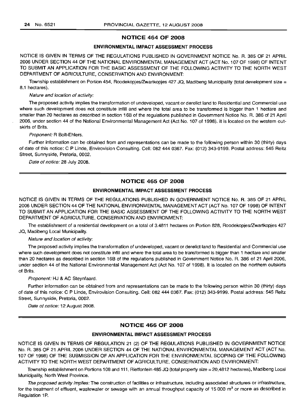## **NOTICE 464 OF 2008**

## **ENVIRONMENTAL IMPACT ASSESSMENT PROCESS**

NOTICE IS GIVEN IN TERMS OF THE REGULATIONS PUBLISHED IN GOVERNMENT NOTICE No. R. 385 OF 21 APRIL 2006 UNDER SECTION 44 OF THE NATIONAL ENVIRONMENTAL MANAGEMENT ACT (ACT No.1 07 OF 1998) OF INTENT TO SUBMIT AN APPLICATION FOR THE BASIC ASSESSMENT OF THE FOLLOWING ACTIVITY TO THE NORTH WEST DEPARTMENT OF AGRICULTURE, CONSERVATION AND ENVIRONMENT:

Township establishment on Portion 454, Roodekopjes/Zwartkopjes 427 JQ, Madibeng Municipality (total development size = 8.1 hectares).

Nature and location of activity:

The proposed activity implies the transformation of undeveloped, vacant or derelict land to Residential and Commercial use where such development does not constitute infill and where the total area to be transformed is bigger than 1 hectare and smaller than 20 hectares as described in section 16B of the regulations published in Government Notice No. R. 386 of 21 April 2006, under section 44 of the National Environmental Management Act (Act No. 107 of 1998). It is located on the western outskirts of Brits.

Proponent: R Bolt-Ehlers.

Further information can be obtained from and representations can be made to the following person within 30 (thirty) days of date of this notice: C P Linde, Envirovision Consulting. Cell: 082 444 0367. Fax: (012) 343-9199. Postal address: 545 Reitz Street, Sunnyside, Pretoria, 0002.

Date of notice: 28 July 2008.

## **NOTICE 465 OF 2008**

## **ENVIRONMENTAL IMPACT ASSESSMENT PROCESS**

NOTICE IS GIVEN IN TERMS OF THE REGULATIONS PUBLISHED IN GOVERNMENT NOTICE No. R. 385 OF 21 APRIL 2006 UNDER SECTION 44 OF THE NATIONAL ENVIRONMENTAL MANAGEMENT ACT (ACT No. 107 OF 1998) OF INTENT TO SUBMIT AN APPLICATION FOR THE BASIC ASSESSMENT OF THE FOLLOWING ACTIVITY TO THE NORTH WEST DEPARTMENT OF AGRICULTURE, CONSERVATION AND ENVIRONMENT:

The establishment of a residential development on a total of 3.4811 hectares on Portion 828, Roodekopjes/Zwartkopjes 427 JQ, Madibeng Local Municipality.

Nature and location of activity:

The proposed activity implies the transformation of undeveloped, vacant or derelict land to Residential and Commercial use where such development does not constitute infill and where the total area to be transformed is bigger than 1 hectare and smaller than 20 hectares as described in section 16B of the regulations published in Government Notice No. R. 386 of 21 April 2006, under section 44 of the National Environmental Management Act (Act No. 107 of 1998). It is located on the northern outskirts of Brits.

Proponent: HJ & AC Steynfaard.

Further information can be obtained from and representations can be made to the following person within 30 (thirty) days of date of this notice: C P Linde, Envirovision Consulting. Cell: 082 444 0367. Fax: (012) 343-9199. Postal address: 545 Reitz Street, Sunnyside, Pretoria, 0002.

Date of notice: 12 August 2008.

#### **NOTICE 466 OF 2008**

#### **ENVIRONMENTAL IMPACT ASSESSMENT PROCESS**

NOTICE IS GIVEN IN TERMS OF REGULATION 21 (2) OF THE REGULATIONS PUBLISHED IN GOVERNMENT NOTICE No. R. 385 OF 21 APRIL 2006 UNDER SECTION 44 OF THE NATIONAL ENVIRONMENTAL MANAGEMENT ACT (ACT No. 107 OF 1998) OF THE SUBMISSION OF AN APPLICATION FOR THE ENVIRONMENTAL SCOPING OF THE FOLLOWING ACTIVITY TO THE NORTH WEST DEPARTMENT OF AGRICULTURE, CONSERVATION AND ENVIRONMENT:

Township establishment on Portions 108 and 111, Rietfontein 485 JQ (total property size = 20,4812 hectares), Madibeng Local Municipality, North West Province.

The proposed activity implies: The construction of facilities or infrastructure, including associated structures or infrastructure, for the treatment of effluent, wastewater or sewage with an annual throughput capacity of 15 000  $\text{m}^3$  or more as described in Regulation 1P.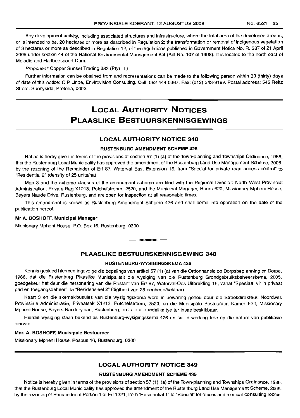Any development activity, including associated structures and infrastructure, where the total area of the developed area is, or is intended to be, 20 hectares or more as described in Regulation 2; the transformation or removal of indigenous vegetation of 3 hectares or more as described in Regulation 12; of the regulations published in Government Notice No. R. 387 of 21 April 2006 under section 44 of the National Environmental Management Act (Act No. 107 of 1998). It is located to the north east of Melodie and Hartbeespoort Dam.

Proponent: Copper Sunset Trading 383 (Pty) Ltd.

Further information can be obtained from and representations can be made to the following person within 30 (thirty) days of date of this notice: C P Linde, Envirovision Consulting. Cell: 082 444 0367. Fax: (012) 343-9199. Postal address: 545 Reitz Street, Sunnyside, Pretoria, 0002.

## **LOCAL AUTHORITY NloTICES PLAASLIKE BESTUURSKENINISGEWINGS**

## **LOCAL AUTHORITY NOTICE 348**

#### **RUSTENBURG AMENDMENT SCHEME 426**

Notice is herby given in terms of the provisions of section 57 (1) (a) of the Town-planning and Townships Ordinance, 1986, that the Rustenburg Local Municipality has approved the amendment of the Rustenburg Land Use Management Scheme, 2005, by the rezoning of the Remainder of Erf 87, Waterval East Extension 16, from "Special for private road access control" to "Residential 2" (density of 25 units/hal.

Map 3 and the scheme clauses of the amendment scheme are filed with the Regional Director: North West Provincial Administration, Private Bag X1213, Potchefstroom, 2520, and the Municipal Manager, Room 620, Missionary Mpheni House, Beyers Naude Drive, Rustenburg, and are open for inspection at all reasonable times.

This amendment is known as Rustenburg Amendment Scheme 426 and shall come into operation on the date of the publication hereof.

## **Mr A. BOSHOFF, Municipal Manager**

Missionary Mpheni House, P.O. Box 16, Rustenburg, 0300

## **PLAASLIKE BESTUURSKENNISGEWING 348**

I **\_ •**

#### **RUSTENBURG-WYSIGINGSKEMA 426**

Kennis geskied hiermee ingevolge die bepalings van artikel 57 (1) (a) van die Ordonnansie op Dorpsbeplanning en Dorpe, 1986, dat die Rustenburg Plaaslike Munisipaliteit die wysiging van die Rustenburg Grondgebruiksbeheerskema, 2005, goedgekeur het deur die hersonering van die Restant van Erf 87, Waterval-Oos Uitbreiding 16, vanaf "Spesiaal vir 'n privaat pad en toegangsbeheer" na "Residensieel 2" (digtheid van 25 eenhede/hektaar).

Kaart 3 en die skemaklousules van die wysigingskema word in bewaring gehou deur die Streekdirekteur: Noordwes Provinsiale Administrasie, Privaatsak X1213, Potchefstroom, 2520, en die Munisipale Bestuurder, Kamer 620, Missionary Mpheni House, Beyers Nauderylaan, Rustenburg, en is te aile redelike tye ter insae beskikbaar.

Hierdie wysiging staan bekend as Rustenburg-wysigingskema 426 en sal in werking tree op die datum van publikasie hiervan.

#### **Mnr. A. BOSHOFF, Munisipale Bestuurder**

Missionary Mpheni House, Posbus 16, Rustenburg, 0300

## **LOCAL AUTHORITY NOTICE 349**

#### **RUSTENBURG AMENDMENT SCHEME 435**

Notice is hereby given in terms of the provisions of section 57 (1) (a) of the Town-planning and Townships Ordinance, 1986, that the Rustenburg Local Municipality has approved the amendment of the Rustenburg Land Use Management Scheme, 2005, by the rezoning of Remainder of Portion 1 of Erf 1321, from "Residential 1"to "Special" for offices and medical consulting rooms.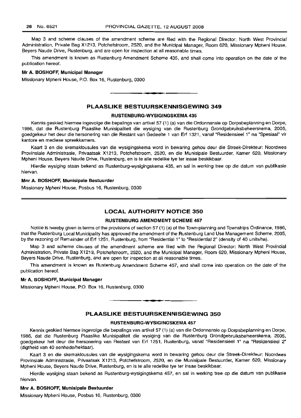Map 3 and scheme clauses of the amendment scheme are filed with the Regional Director: North West Provincial Administration, Private Bag X1213, Potchefstroom, 2520, and the Municipal Manager, Room 620, Missionary Mpheni House, Beyers Naude Drive, Rustenburg, and are open for inspection at all reasonable times.

This amendment is known as Rustenburg Amendment Scheme 435, and shall come into operation on the date of the publication hereof.

#### **Mr A. BOSHOFF, Municipal Manager**

Missionary Mpheni House, P.O. Box 16, Rustenburg, 0300

## **PLAASLIKE BESTUURSKENNISGEWING 349**

.**- .**

#### **RUSTENBURG-WYSIGINGSKEMA 435**

Kennis geskied hiermee ingevolge die bepalings van artikel 57 (1) (a) van die Ordonnansie op Dorpsbeplanning en Darpe, 1986, dat die Rustenburg Plaaslike Munisipaliteit die wysiging van die Rustenburg Grondgebruiksbeheerskema, 2005, goedgekeur het deur die hersonering van die Restant van Gedeelte 1 van Erf 1321, vanaf "Residensieel 1" na "Spesiaal" vir kantore en mediese spreekkamers.

Kaart 3 en die skemaklousules van die wysigingskema word in bewaring gehou deur die Streek-Direkteur: Noordwes Provinsiale Administrasie, Privaatsak X1213, Potchefstroom, 2520, en die Munisipale Bestuurder, Kamer 620, Missionary Mpheni House, Beyers Naude Drive, Rustenburg, en is te aile redelike tye ter insae beskikbaar.

Hierdie wysiging staan bekend as Rustenburg-wysigingskema 435, en sal in werking tree op die datum van publikasie hiervan.

#### **Mnr A. BOSHOFF, Munisipale Bestuurder**

Missionary Mpheni House, Posbus 16, Rustenburg, 0300

## **LOCAL AUTHORITY NOTICE 350**

## **RUSTENBURG AMENDMENT SCHEME 457**

Notice is hereby given in terms of the provisions of section 57 (1) (a) of the Town-planning and Townships Ordinance, 1986, that the Rustenburg Local Municipality has approved the amendment of the Rustenburg Land Use Management Scheme, 2005, by the rezoning of Remainder of Erf 1251, Rustenburg, from "Residential 1" to "Residential 2" (density of 40 units/ha).

Map 3 and scheme clauses of the amendment scheme are filed with the Regional Director: North West Provincial Administration, Private Bag X1213, Potchefstroom, 2520, and the Municipal Manager, Room 620, Missionary Mpheni House, Beyers Naude Drive, Rustenburg, and are open for inspection at all reasonable times.

This amendment is known as Rustenburg Amendment Scheme 457, and shall come into operation on the date of the publication hereof.

## **Mr A. BOSHOFF, Municipal Manager**

Missionary Mpheni House, P.O. Box 16, Rustenburg, 0300

## **PLAASLIKE BESTUURSKENNISGEWING 350**

.**-.**

## **RUSTENBURG-WYSIGINGSKEMA 457**

Kennis geskied hiermee ingevolge die bepalings van artikel 57 (1) (a) van die Ordonnansie op Dorpsbeplanning en Dorpe, 1986, dat die Rustenburg Plaaslike Munisipaliteit die wysiging van die Rustenburg Grondgebruiksbeheerskema, 2005, goedgekeur het deur die hersonering van Restant van Erf 1251, Rustenburg, vanaf "Residensieel 1" na "Residensieel 2" (digtheid van 40 eenhede/hektaar).

Kaart 3 en die skemaklousules van die wysigingskema word in bewaring gehou deur die Streek-Direkteur: Noordwes Provinsiale Administrasie, Privaatsak X1213, Potchefstroom, 2520, en die Munisipale Bestuurder, Kamer 620, Missionary Mpheni House, Beyers Naude Drive, Rustenburg, en is te aile redelike tye ter insae beskikbaar.

Hierdie wysiging staan bekend as Rustenburg-wysigingskema 457, en sal in werking tree op die datum van publikasie hiervan.

## **Mnr A. BOSHOFF, Munisipale Bestuurder**

Missionary Mpheni House, Posbus 16, Rustenburg, 0300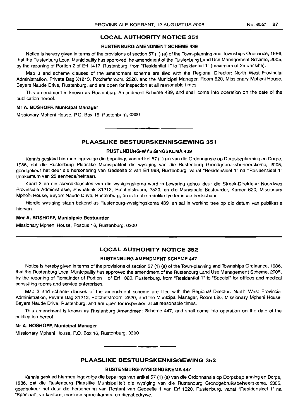## **LOCAL AUTHORITY NOTICE 351**

#### **RUSTENBURG AMENDMENT SCHEME 439**

Notice is hereby given in terms of the provisions of section 57 (1) (a) of the Town-planning and Townships Ordinance, 1986, that the Rustenburg Local Municipality has approved the amendment of the Rustenburg Land Use Management Scheme, 2005, by the rezoning of Portion 2 of Erf 1417, Rustenburg, from "Residential 1" to "Residential 1" (maximum of 25 units/ha).

Map 3 and scheme clauses of the amendment scheme are filed with the Regional Director: North West Provincial Administration, Private Bag X1213, Potchefstroom, 2520, and the Municipal Manager, Room 620, Missionary Mpheni House, Beyers Naude Drive, Rustenburg, and are open for inspection at all reasonable times.

This amendment is known as Rustenburg Amendment Scheme 439, and shall come into operation on the date of the publication hereof.

#### **Mr A.** BOSHOFF, **Municipal Manager**

Missionary Mpheni House, P.O. Box 16, Rustenburg, 0300

## **PLAASLIKE BESTUURSKENNISGEWING 351**

.**- .**

## **RUSTENBURG-WYSIGINGSKEMA 439**

Kennis geskied hiermee ingevolge die bepalings van artikel 57 (1) (a) van die Ordonnansie op Dorpsbeplanning en Dorpe, 1986, dat die Rustenburq Plaaslike Munisipaliteit die wysiging van die Rustenburg Grondgebruiksbeheerskema, 2005, goedgekeur het deur die hersonering van Gedeelte 2 van Erf 998, Rustenburg, vanaf "Residensieel 1" na "Residensieel 1" (maksimum van 25 eenhede/hektaar).

Kaart 3 en die skemaklousules van die wysigingskema word in bewaring gehou deur die Streek-Direkteur: Noordwes Provinsiale Administrasie, Privaatsak X1213, Potchefstroom, 2520, en die Munisipale Bestuurder, Kamer 620, Missionary Mpheni House, Beyers Naude Drive, Rustenburg, en is te aile redelike tye ter insae beskikbaar.

Hierdie wysiging staan bekend as Rustenburg-wysigingskema 439, en sal in werking tree op die datum van publikasie hiervan.

#### **Mnr A. BOSHOFF, Munisipale Bestuurder**

Missionary Mpheni House, Posbus 16, Rustenburg, 0300

## **LOCAL AUTHORITY NOTICE 352**

## **RUSTENBURG AMENDMENT SCHEME 447**

Notice is hereby given in terms of the provisions of section 57 (1) (a) of the Town-planning and Townships Ordinance, 1986, that the Rustenburg Local Municipality has approved the amendment of the Rustenburg Land Use Management Scheme, 2005, by the rezoning of Remainder of Portion 1 of Erf 1320, Rustenburg, from "Residential 1" to "Special" for offices and medical consulting rooms and service enterprises.

Map 3 and scheme clauses of the amendment scheme are filed with the Regional Director: North West Provincial Administration, Private Bag X1213, Potchefstroom, 2520, and the Municipal Manager, Room 620, Missionary Mpheni House, Beyers Naude Drive, Rustenburg, and are open for inspection at all reasonable times.

This amendment is known as Rustenburg Amendment Scheme 447, and shall come into operation on the date of the publication hereof.

#### **Mr A.** BOSHOFF, **Municipal Manager**

Missionary Mpheni House, P.O. Box 16, Rustenburg, 0300

## **PLAASLIKE BESTUURSKENNISGEWING 352**

**-**

#### **RUSTENBLlRG-WYSIGINGSKEMA 447**

Kennis geskied hiermee ingevolge die bepalings van artikel 57 (1) (a) van die Ordonnansie op Dorpsbeplanning en Dorpe, 1986, dat die Rustenburg Plaaslike Munisipaliteit die wysiging van die Rustenburg Grondgebruiksbeheerskema, 2005, goedgekeur het deur die hersonering van Restant van Gedeelte 1 van Erf 1320, Rustenburg, vanaf "Residensieel 1" na "Spesiaal", vir kantore, mediese spreekkamers en diensbedrywe.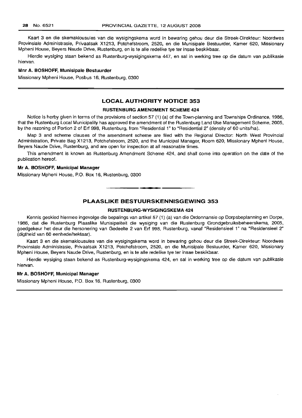Kaart 3 en die skemaklousules van die wysigingskema word in bewaring gehou deur die Streek-Direkteur: Noordwes Provinsiale Administrasie, Privaatsak X1213, Potchefstroom, 2520, en die Munisipale Bestuurder, Kamer 620, Missionary Mpheni House, Beyers Naude Drive, Rustenburg, en is te aile redelike tye ter insae beskikbaar.

Hierdie wysiging staan bekend as Rustenburg-wysigingskema 447, en sal in werking tree op die datum van publikasie hiervan.

## **Mnr A.** BOSHOFF, **Munisipale Bestuurder**

Missionary Mpheni House, Posbus 16, Rustenburg, 0300

## **LOCAL AUTHORITY NOTICE 353**

#### **RUSTENBURG AMENDMENT SCHEME 424**

Notice is herby given in terms of the provisions of section 57 (1) (a) of the Town-planning and Townships Ordinance, 1986, that the Rustenburg Local Municipality has approved the amendment of the Rustenburg Land Use Management Scheme, 2005, by the rezoning of Portion 2 of Erf 998, Rustenburg, from "Residential 1" to "Residential 2" (density of 60 units/ha).

Map 3 and scheme clauses of the amendment scheme are filed with the Regional Director: North West Provincial Administration, Private Bag X1213, Potchefstroom, 2520, and the Municipal Manager, Room 620, Missionary Mpheni House, Beyers Naude Drive, Rustenburg, and are open for inspection at all reasonable times.

This amendment is known as Rustenburg Amendment Scheme 424, and shall come into operation on the date of the publication hereof.

## **Mr A. BOSHOFF, Municipal Manager**

Missionary Mpheni House, P.O. Box 16, Rustenburg, 0300

## **PLAASLIKE BESTUURSKENNISGEWING 353**

.**-.**

## **RUSTENBURG-WYSIGINGSKEMA 424**

Kennis geskied hiermee ingevolge die bepalings van artikel 57 (1) (a) van die Ordonnansie op Dorpsbeplanning en Dorpe, 1986, dat die Rustenburg Plaaslike Munisipaliteit die wysiging van die Rustenburg Grondgebruiksbeheerskema, 2005, goedgekeur het deur die hersonering van Gedeelte 2 van Erf 998, Rustenburg, vanaf "Residensieel 1" na "Residensieel 2" (digtheid van 60 eenhede/hektaar).

Kaart 3 en die skemaklousules van die wysigingskema word in bewaring gehou deur die Streek-Direkteur: Noordwes Provinsiale Administrasie, Privaatsak X1213, Potchefstroom, 2520, en die Munisipale Bestuurder, Kamer 620, Missionary Mpheni House, Beyers Naude Drive, Rustenburg, en is te aile redelike tye ter insae beskikbaar.

Hierdie wysiging staan bekend as Rustenburg-wysigingskema 424, en sal in werking tree op die datum van publikasie hiervan.

#### **Mr A. BOSHOFF, Municipal Manager**

Missionary Mpheni House, P.O. Box 16, Rustenburg, 0300